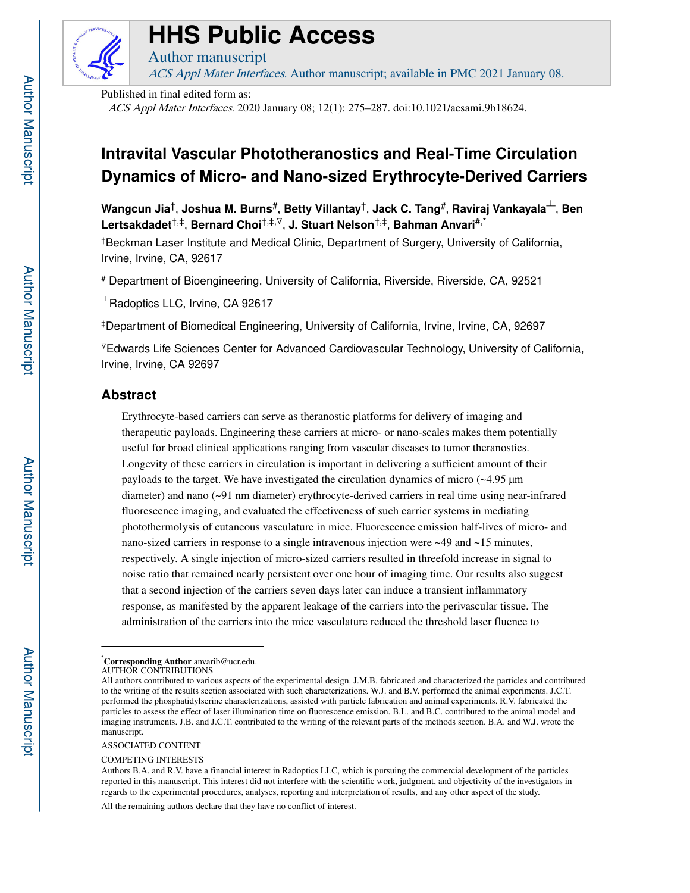

# **HHS Public Access**

ACS Appl Mater Interfaces. Author manuscript; available in PMC 2021 January 08.

Published in final edited form as:

Author manuscript

ACS Appl Mater Interfaces. 2020 January 08; 12(1): 275–287. doi:10.1021/acsami.9b18624.

## **Intravital Vascular Phototheranostics and Real-Time Circulation Dynamics of Micro- and Nano-sized Erythrocyte-Derived Carriers**

**Wangcun Jia**†, **Joshua M. Burns**#, **Betty Villantay**†, **Jack C. Tang**#, **Raviraj Vankayala**┴, **Ben Lertsakdadet**†,‡, **Bernard Choi**†,‡,∇, **J. Stuart Nelson**†,‡, **Bahman Anvari**#,\*

†Beckman Laser Institute and Medical Clinic, Department of Surgery, University of California, Irvine, Irvine, CA, 92617

# Department of Bioengineering, University of California, Riverside, Riverside, CA, 92521

 $+$ Radoptics LLC, Irvine, CA 92617

‡Department of Biomedical Engineering, University of California, Irvine, Irvine, CA, 92697

<sup>∇</sup>Edwards Life Sciences Center for Advanced Cardiovascular Technology, University of California, Irvine, Irvine, CA 92697

## **Abstract**

Erythrocyte-based carriers can serve as theranostic platforms for delivery of imaging and therapeutic payloads. Engineering these carriers at micro- or nano-scales makes them potentially useful for broad clinical applications ranging from vascular diseases to tumor theranostics. Longevity of these carriers in circulation is important in delivering a sufficient amount of their payloads to the target. We have investigated the circulation dynamics of micro (~4.95 μm diameter) and nano (~91 nm diameter) erythrocyte-derived carriers in real time using near-infrared fluorescence imaging, and evaluated the effectiveness of such carrier systems in mediating photothermolysis of cutaneous vasculature in mice. Fluorescence emission half-lives of micro- and nano-sized carriers in response to a single intravenous injection were ~49 and ~15 minutes, respectively. A single injection of micro-sized carriers resulted in threefold increase in signal to noise ratio that remained nearly persistent over one hour of imaging time. Our results also suggest that a second injection of the carriers seven days later can induce a transient inflammatory response, as manifested by the apparent leakage of the carriers into the perivascular tissue. The administration of the carriers into the mice vasculature reduced the threshold laser fluence to

ASSOCIATED CONTENT

COMPETING INTERESTS

All the remaining authors declare that they have no conflict of interest.

<sup>\*</sup>**Corresponding Author** anvarib@ucr.edu.

AUTHOR CONTRIBUTIONS

All authors contributed to various aspects of the experimental design. J.M.B. fabricated and characterized the particles and contributed to the writing of the results section associated with such characterizations. W.J. and B.V. performed the animal experiments. J.C.T. performed the phosphatidylserine characterizations, assisted with particle fabrication and animal experiments. R.V. fabricated the particles to assess the effect of laser illumination time on fluorescence emission. B.L. and B.C. contributed to the animal model and imaging instruments. J.B. and J.C.T. contributed to the writing of the relevant parts of the methods section. B.A. and W.J. wrote the manuscript.

Authors B.A. and R.V. have a financial interest in Radoptics LLC, which is pursuing the commercial development of the particles reported in this manuscript. This interest did not interfere with the scientific work, judgment, and objectivity of the investigators in regards to the experimental procedures, analyses, reporting and interpretation of results, and any other aspect of the study.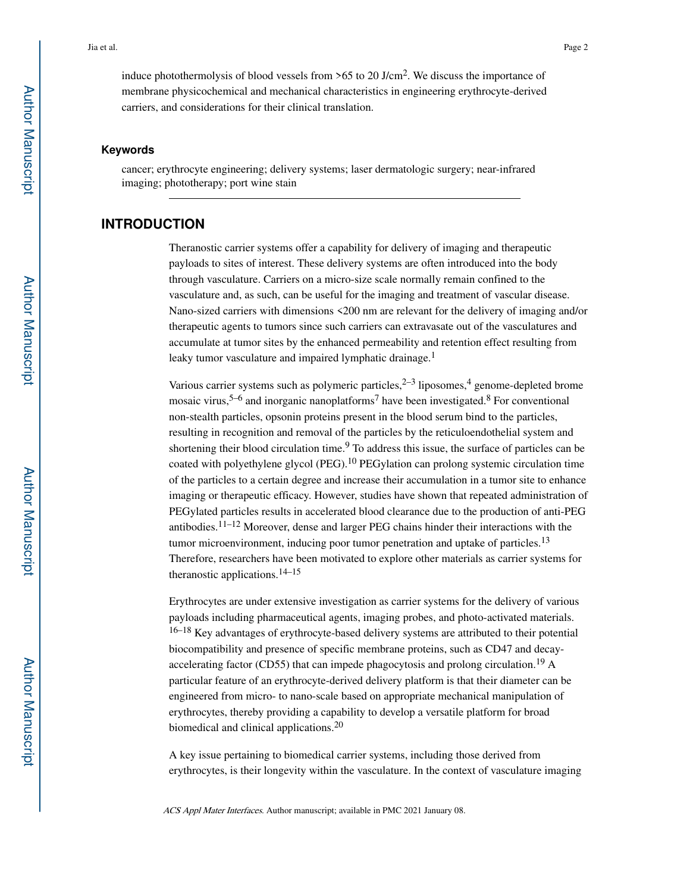#### **Keywords**

cancer; erythrocyte engineering; delivery systems; laser dermatologic surgery; near-infrared imaging; phototherapy; port wine stain

## **INTRODUCTION**

Theranostic carrier systems offer a capability for delivery of imaging and therapeutic payloads to sites of interest. These delivery systems are often introduced into the body through vasculature. Carriers on a micro-size scale normally remain confined to the vasculature and, as such, can be useful for the imaging and treatment of vascular disease. Nano-sized carriers with dimensions <200 nm are relevant for the delivery of imaging and/or therapeutic agents to tumors since such carriers can extravasate out of the vasculatures and accumulate at tumor sites by the enhanced permeability and retention effect resulting from leaky tumor vasculature and impaired lymphatic drainage.<sup>1</sup>

Various carrier systems such as polymeric particles,  $2-3$  liposomes,  $4$  genome-depleted brome mosaic virus,<sup>5–6</sup> and inorganic nanoplatforms<sup>7</sup> have been investigated.<sup>8</sup> For conventional non-stealth particles, opsonin proteins present in the blood serum bind to the particles, resulting in recognition and removal of the particles by the reticuloendothelial system and shortening their blood circulation time.<sup>9</sup> To address this issue, the surface of particles can be coated with polyethylene glycol (PEG).10 PEGylation can prolong systemic circulation time of the particles to a certain degree and increase their accumulation in a tumor site to enhance imaging or therapeutic efficacy. However, studies have shown that repeated administration of PEGylated particles results in accelerated blood clearance due to the production of anti-PEG antibodies.<sup>11–12</sup> Moreover, dense and larger PEG chains hinder their interactions with the tumor microenvironment, inducing poor tumor penetration and uptake of particles.<sup>13</sup> Therefore, researchers have been motivated to explore other materials as carrier systems for theranostic applications.<sup>14–15</sup>

Erythrocytes are under extensive investigation as carrier systems for the delivery of various payloads including pharmaceutical agents, imaging probes, and photo-activated materials. 16–18 Key advantages of erythrocyte-based delivery systems are attributed to their potential biocompatibility and presence of specific membrane proteins, such as CD47 and decayaccelerating factor (CD55) that can impede phagocytosis and prolong circulation.19 A particular feature of an erythrocyte-derived delivery platform is that their diameter can be engineered from micro- to nano-scale based on appropriate mechanical manipulation of erythrocytes, thereby providing a capability to develop a versatile platform for broad biomedical and clinical applications.<sup>20</sup>

A key issue pertaining to biomedical carrier systems, including those derived from erythrocytes, is their longevity within the vasculature. In the context of vasculature imaging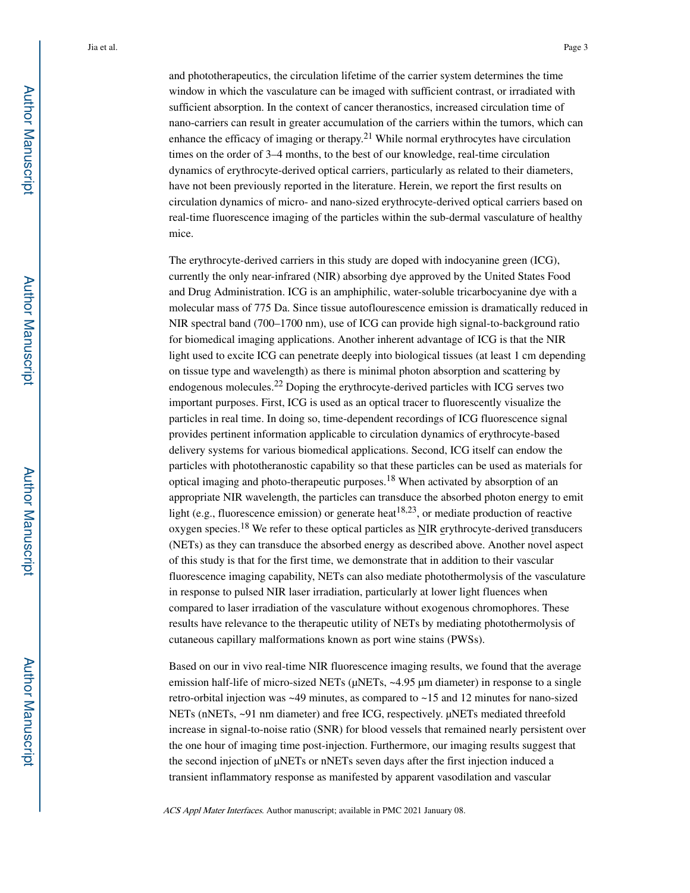and phototherapeutics, the circulation lifetime of the carrier system determines the time window in which the vasculature can be imaged with sufficient contrast, or irradiated with sufficient absorption. In the context of cancer theranostics, increased circulation time of nano-carriers can result in greater accumulation of the carriers within the tumors, which can enhance the efficacy of imaging or therapy.<sup>21</sup> While normal erythrocytes have circulation times on the order of 3–4 months, to the best of our knowledge, real-time circulation dynamics of erythrocyte-derived optical carriers, particularly as related to their diameters, have not been previously reported in the literature. Herein, we report the first results on circulation dynamics of micro- and nano-sized erythrocyte-derived optical carriers based on real-time fluorescence imaging of the particles within the sub-dermal vasculature of healthy mice.

The erythrocyte-derived carriers in this study are doped with indocyanine green (ICG), currently the only near-infrared (NIR) absorbing dye approved by the United States Food and Drug Administration. ICG is an amphiphilic, water-soluble tricarbocyanine dye with a molecular mass of 775 Da. Since tissue autoflourescence emission is dramatically reduced in NIR spectral band (700–1700 nm), use of ICG can provide high signal-to-background ratio for biomedical imaging applications. Another inherent advantage of ICG is that the NIR light used to excite ICG can penetrate deeply into biological tissues (at least 1 cm depending on tissue type and wavelength) as there is minimal photon absorption and scattering by endogenous molecules.22 Doping the erythrocyte-derived particles with ICG serves two important purposes. First, ICG is used as an optical tracer to fluorescently visualize the particles in real time. In doing so, time-dependent recordings of ICG fluorescence signal provides pertinent information applicable to circulation dynamics of erythrocyte-based delivery systems for various biomedical applications. Second, ICG itself can endow the particles with phototheranostic capability so that these particles can be used as materials for optical imaging and photo-therapeutic purposes.18 When activated by absorption of an appropriate NIR wavelength, the particles can transduce the absorbed photon energy to emit light (e.g., fluorescence emission) or generate heat<sup>18,23</sup>, or mediate production of reactive oxygen species.18 We refer to these optical particles as NIR erythrocyte-derived transducers (NETs) as they can transduce the absorbed energy as described above. Another novel aspect of this study is that for the first time, we demonstrate that in addition to their vascular fluorescence imaging capability, NETs can also mediate photothermolysis of the vasculature in response to pulsed NIR laser irradiation, particularly at lower light fluences when compared to laser irradiation of the vasculature without exogenous chromophores. These results have relevance to the therapeutic utility of NETs by mediating photothermolysis of cutaneous capillary malformations known as port wine stains (PWSs).

Based on our in vivo real-time NIR fluorescence imaging results, we found that the average emission half-life of micro-sized NETs (μNETs, ~4.95 μm diameter) in response to a single retro-orbital injection was ~49 minutes, as compared to ~15 and 12 minutes for nano-sized NETs (nNETs, ~91 nm diameter) and free ICG, respectively. μNETs mediated threefold increase in signal-to-noise ratio (SNR) for blood vessels that remained nearly persistent over the one hour of imaging time post-injection. Furthermore, our imaging results suggest that the second injection of μNETs or nNETs seven days after the first injection induced a transient inflammatory response as manifested by apparent vasodilation and vascular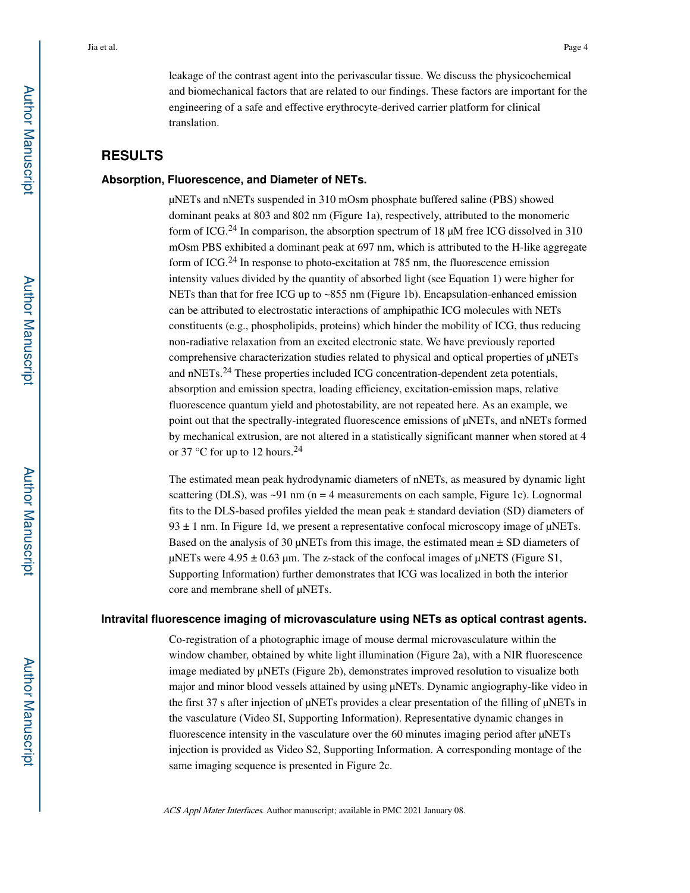leakage of the contrast agent into the perivascular tissue. We discuss the physicochemical and biomechanical factors that are related to our findings. These factors are important for the engineering of a safe and effective erythrocyte-derived carrier platform for clinical translation.

## **RESULTS**

#### **Absorption, Fluorescence, and Diameter of NETs.**

μNETs and nNETs suspended in 310 mOsm phosphate buffered saline (PBS) showed dominant peaks at 803 and 802 nm (Figure 1a), respectively, attributed to the monomeric form of ICG.<sup>24</sup> In comparison, the absorption spectrum of 18  $\mu$ M free ICG dissolved in 310 mOsm PBS exhibited a dominant peak at 697 nm, which is attributed to the H-like aggregate form of ICG.24 In response to photo-excitation at 785 nm, the fluorescence emission intensity values divided by the quantity of absorbed light (see Equation 1) were higher for NETs than that for free ICG up to ~855 nm (Figure 1b). Encapsulation-enhanced emission can be attributed to electrostatic interactions of amphipathic ICG molecules with NETs constituents (e.g., phospholipids, proteins) which hinder the mobility of ICG, thus reducing non-radiative relaxation from an excited electronic state. We have previously reported comprehensive characterization studies related to physical and optical properties of μNETs and nNETs.24 These properties included ICG concentration-dependent zeta potentials, absorption and emission spectra, loading efficiency, excitation-emission maps, relative fluorescence quantum yield and photostability, are not repeated here. As an example, we point out that the spectrally-integrated fluorescence emissions of μNETs, and nNETs formed by mechanical extrusion, are not altered in a statistically significant manner when stored at 4 or 37  $\degree$ C for up to 12 hours.<sup>24</sup>

The estimated mean peak hydrodynamic diameters of nNETs, as measured by dynamic light scattering (DLS), was  $\sim$ 91 nm (n = 4 measurements on each sample, Figure 1c). Lognormal fits to the DLS-based profiles yielded the mean peak ± standard deviation (SD) diameters of  $93 \pm 1$  nm. In Figure 1d, we present a representative confocal microscopy image of  $\mu$ NETs. Based on the analysis of 30  $\mu$ NETs from this image, the estimated mean  $\pm$  SD diameters of μNETs were  $4.95 \pm 0.63$  μm. The z-stack of the confocal images of μNETS (Figure S1, Supporting Information) further demonstrates that ICG was localized in both the interior core and membrane shell of μNETs.

#### **Intravital fluorescence imaging of microvasculature using NETs as optical contrast agents.**

Co-registration of a photographic image of mouse dermal microvasculature within the window chamber, obtained by white light illumination (Figure 2a), with a NIR fluorescence image mediated by μNETs (Figure 2b), demonstrates improved resolution to visualize both major and minor blood vessels attained by using μNETs. Dynamic angiography-like video in the first 37 s after injection of μNETs provides a clear presentation of the filling of μNETs in the vasculature (Video SI, Supporting Information). Representative dynamic changes in fluorescence intensity in the vasculature over the 60 minutes imaging period after μNETs injection is provided as Video S2, Supporting Information. A corresponding montage of the same imaging sequence is presented in Figure 2c.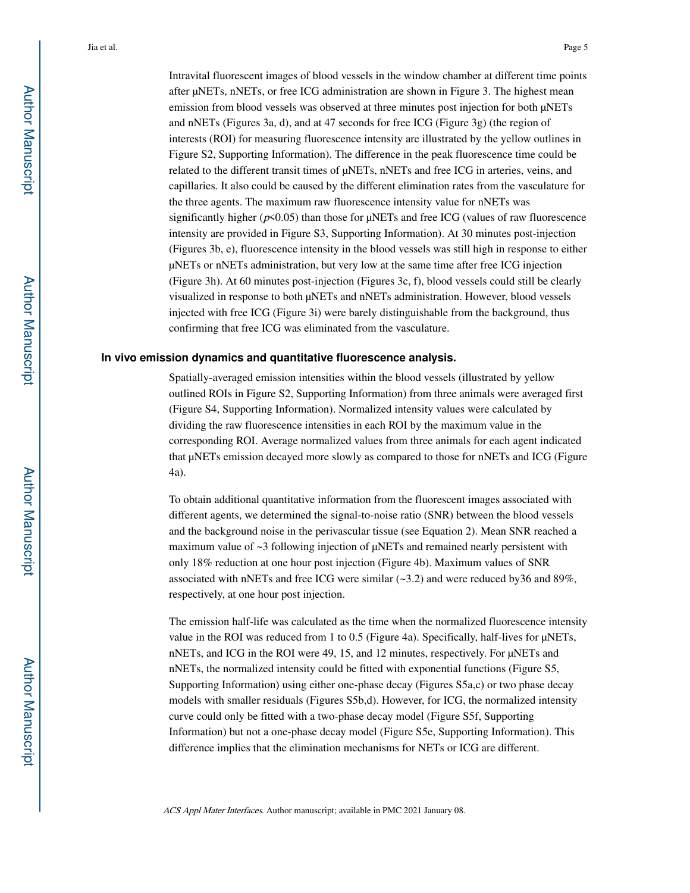Intravital fluorescent images of blood vessels in the window chamber at different time points after μNETs, nNETs, or free ICG administration are shown in Figure 3. The highest mean emission from blood vessels was observed at three minutes post injection for both μNETs and nNETs (Figures 3a, d), and at 47 seconds for free ICG (Figure 3g) (the region of interests (ROI) for measuring fluorescence intensity are illustrated by the yellow outlines in Figure S2, Supporting Information). The difference in the peak fluorescence time could be related to the different transit times of μNETs, nNETs and free ICG in arteries, veins, and capillaries. It also could be caused by the different elimination rates from the vasculature for the three agents. The maximum raw fluorescence intensity value for nNETs was significantly higher ( $p$ <0.05) than those for  $\mu$ NETs and free ICG (values of raw fluorescence intensity are provided in Figure S3, Supporting Information). At 30 minutes post-injection (Figures 3b, e), fluorescence intensity in the blood vessels was still high in response to either μNETs or nNETs administration, but very low at the same time after free ICG injection (Figure 3h). At 60 minutes post-injection (Figures 3c, f), blood vessels could still be clearly visualized in response to both μNETs and nNETs administration. However, blood vessels injected with free ICG (Figure 3i) were barely distinguishable from the background, thus confirming that free ICG was eliminated from the vasculature.

#### **In vivo emission dynamics and quantitative fluorescence analysis.**

Spatially-averaged emission intensities within the blood vessels (illustrated by yellow outlined ROIs in Figure S2, Supporting Information) from three animals were averaged first (Figure S4, Supporting Information). Normalized intensity values were calculated by dividing the raw fluorescence intensities in each ROI by the maximum value in the corresponding ROI. Average normalized values from three animals for each agent indicated that μNETs emission decayed more slowly as compared to those for nNETs and ICG (Figure 4a).

To obtain additional quantitative information from the fluorescent images associated with different agents, we determined the signal-to-noise ratio (SNR) between the blood vessels and the background noise in the perivascular tissue (see Equation 2). Mean SNR reached a maximum value of  $\sim$ 3 following injection of  $\mu$ NETs and remained nearly persistent with only 18% reduction at one hour post injection (Figure 4b). Maximum values of SNR associated with nNETs and free ICG were similar  $(\sim 3.2)$  and were reduced by36 and 89%, respectively, at one hour post injection.

The emission half-life was calculated as the time when the normalized fluorescence intensity value in the ROI was reduced from 1 to 0.5 (Figure 4a). Specifically, half-lives for μNETs, nNETs, and ICG in the ROI were 49, 15, and 12 minutes, respectively. For μNETs and nNETs, the normalized intensity could be fitted with exponential functions (Figure S5, Supporting Information) using either one-phase decay (Figures S5a,c) or two phase decay models with smaller residuals (Figures S5b,d). However, for ICG, the normalized intensity curve could only be fitted with a two-phase decay model (Figure S5f, Supporting Information) but not a one-phase decay model (Figure S5e, Supporting Information). This difference implies that the elimination mechanisms for NETs or ICG are different.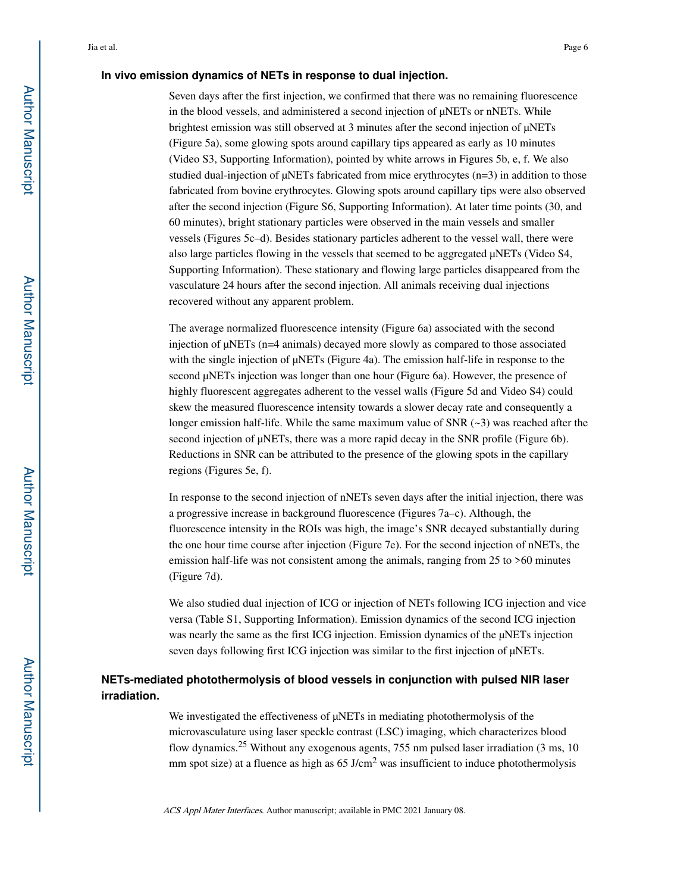#### **In vivo emission dynamics of NETs in response to dual injection.**

Seven days after the first injection, we confirmed that there was no remaining fluorescence in the blood vessels, and administered a second injection of μNETs or nNETs. While brightest emission was still observed at 3 minutes after the second injection of μNETs (Figure 5a), some glowing spots around capillary tips appeared as early as 10 minutes (Video S3, Supporting Information), pointed by white arrows in Figures 5b, e, f. We also studied dual-injection of μNETs fabricated from mice erythrocytes (n=3) in addition to those fabricated from bovine erythrocytes. Glowing spots around capillary tips were also observed after the second injection (Figure S6, Supporting Information). At later time points (30, and 60 minutes), bright stationary particles were observed in the main vessels and smaller vessels (Figures 5c–d). Besides stationary particles adherent to the vessel wall, there were also large particles flowing in the vessels that seemed to be aggregated μNETs (Video S4, Supporting Information). These stationary and flowing large particles disappeared from the vasculature 24 hours after the second injection. All animals receiving dual injections recovered without any apparent problem.

The average normalized fluorescence intensity (Figure 6a) associated with the second injection of μNETs (n=4 animals) decayed more slowly as compared to those associated with the single injection of μNETs (Figure 4a). The emission half-life in response to the second μNETs injection was longer than one hour (Figure 6a). However, the presence of highly fluorescent aggregates adherent to the vessel walls (Figure 5d and Video S4) could skew the measured fluorescence intensity towards a slower decay rate and consequently a longer emission half-life. While the same maximum value of SNR (~3) was reached after the second injection of μNETs, there was a more rapid decay in the SNR profile (Figure 6b). Reductions in SNR can be attributed to the presence of the glowing spots in the capillary regions (Figures 5e, f).

In response to the second injection of nNETs seven days after the initial injection, there was a progressive increase in background fluorescence (Figures 7a–c). Although, the fluorescence intensity in the ROIs was high, the image's SNR decayed substantially during the one hour time course after injection (Figure 7e). For the second injection of nNETs, the emission half-life was not consistent among the animals, ranging from 25 to >60 minutes (Figure 7d).

We also studied dual injection of ICG or injection of NETs following ICG injection and vice versa (Table S1, Supporting Information). Emission dynamics of the second ICG injection was nearly the same as the first ICG injection. Emission dynamics of the μNETs injection seven days following first ICG injection was similar to the first injection of μNETs.

## **NETs-mediated photothermolysis of blood vessels in conjunction with pulsed NIR laser irradiation.**

We investigated the effectiveness of μNETs in mediating photothermolysis of the microvasculature using laser speckle contrast (LSC) imaging, which characterizes blood flow dynamics.25 Without any exogenous agents, 755 nm pulsed laser irradiation (3 ms, 10 mm spot size) at a fluence as high as  $65 \text{ J/cm}^2$  was insufficient to induce photothermolysis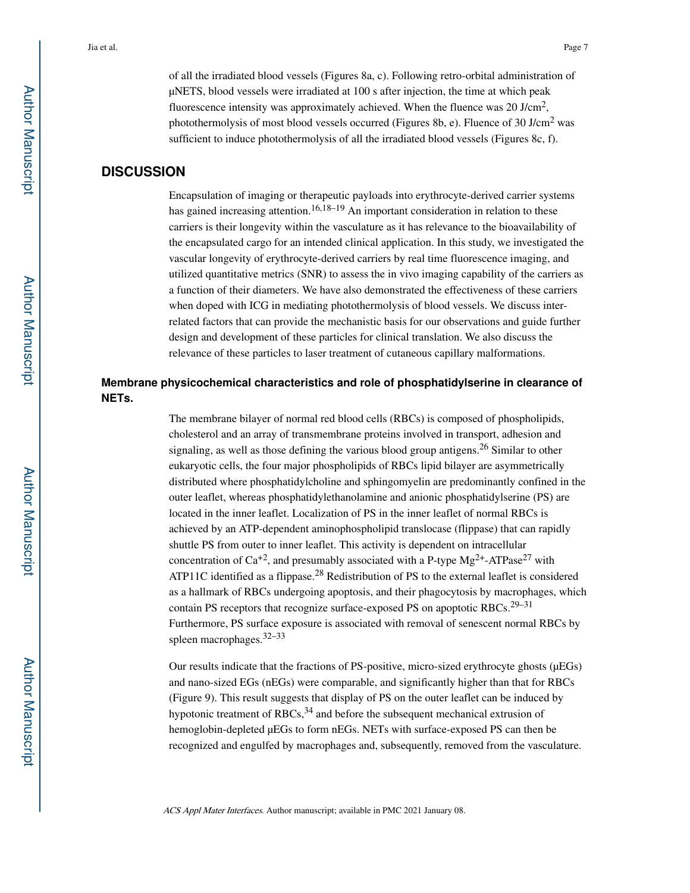of all the irradiated blood vessels (Figures 8a, c). Following retro-orbital administration of μNETS, blood vessels were irradiated at 100 s after injection, the time at which peak fluorescence intensity was approximately achieved. When the fluence was 20 J/cm<sup>2</sup>, photothermolysis of most blood vessels occurred (Figures 8b, e). Fluence of 30 J/cm<sup>2</sup> was sufficient to induce photothermolysis of all the irradiated blood vessels (Figures 8c, f).

#### **DISCUSSION**

Encapsulation of imaging or therapeutic payloads into erythrocyte-derived carrier systems has gained increasing attention.<sup>16,18–19</sup> An important consideration in relation to these carriers is their longevity within the vasculature as it has relevance to the bioavailability of the encapsulated cargo for an intended clinical application. In this study, we investigated the vascular longevity of erythrocyte-derived carriers by real time fluorescence imaging, and utilized quantitative metrics (SNR) to assess the in vivo imaging capability of the carriers as a function of their diameters. We have also demonstrated the effectiveness of these carriers when doped with ICG in mediating photothermolysis of blood vessels. We discuss interrelated factors that can provide the mechanistic basis for our observations and guide further design and development of these particles for clinical translation. We also discuss the relevance of these particles to laser treatment of cutaneous capillary malformations.

## **Membrane physicochemical characteristics and role of phosphatidylserine in clearance of NETs.**

The membrane bilayer of normal red blood cells (RBCs) is composed of phospholipids, cholesterol and an array of transmembrane proteins involved in transport, adhesion and signaling, as well as those defining the various blood group antigens.<sup>26</sup> Similar to other eukaryotic cells, the four major phospholipids of RBCs lipid bilayer are asymmetrically distributed where phosphatidylcholine and sphingomyelin are predominantly confined in the outer leaflet, whereas phosphatidylethanolamine and anionic phosphatidylserine (PS) are located in the inner leaflet. Localization of PS in the inner leaflet of normal RBCs is achieved by an ATP-dependent aminophospholipid translocase (flippase) that can rapidly shuttle PS from outer to inner leaflet. This activity is dependent on intracellular concentration of  $Ca^{+2}$ , and presumably associated with a P-type  $Mg^{2+}$ -ATPase<sup>27</sup> with ATP11C identified as a flippase.<sup>28</sup> Redistribution of PS to the external leaflet is considered as a hallmark of RBCs undergoing apoptosis, and their phagocytosis by macrophages, which contain PS receptors that recognize surface-exposed PS on apoptotic RBCs.<sup>29–31</sup> Furthermore, PS surface exposure is associated with removal of senescent normal RBCs by spleen macrophages.32–33

Our results indicate that the fractions of PS-positive, micro-sized erythrocyte ghosts (μEGs) and nano-sized EGs (nEGs) were comparable, and significantly higher than that for RBCs (Figure 9). This result suggests that display of PS on the outer leaflet can be induced by hypotonic treatment of RBCs,  $34$  and before the subsequent mechanical extrusion of hemoglobin-depleted μEGs to form nEGs. NETs with surface-exposed PS can then be recognized and engulfed by macrophages and, subsequently, removed from the vasculature.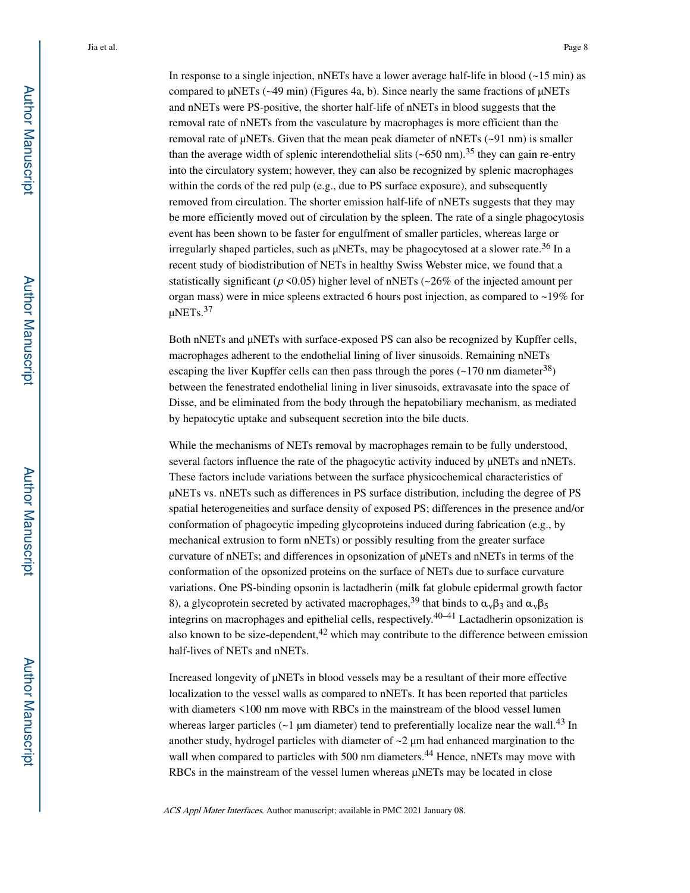In response to a single injection, nNETs have a lower average half-life in blood  $(-15 \text{ min})$  as compared to μNETs (~49 min) (Figures 4a, b). Since nearly the same fractions of μNETs and nNETs were PS-positive, the shorter half-life of nNETs in blood suggests that the removal rate of nNETs from the vasculature by macrophages is more efficient than the removal rate of  $\mu$ NETs. Given that the mean peak diameter of nNETs ( $\sim$ 91 nm) is smaller than the average width of splenic interendothelial slits ( $\sim 650$  nm).<sup>35</sup> they can gain re-entry into the circulatory system; however, they can also be recognized by splenic macrophages within the cords of the red pulp (e.g., due to PS surface exposure), and subsequently removed from circulation. The shorter emission half-life of nNETs suggests that they may be more efficiently moved out of circulation by the spleen. The rate of a single phagocytosis event has been shown to be faster for engulfment of smaller particles, whereas large or irregularly shaped particles, such as  $\mu$ NETs, may be phagocytosed at a slower rate.<sup>36</sup> In a recent study of biodistribution of NETs in healthy Swiss Webster mice, we found that a statistically significant ( $p \le 0.05$ ) higher level of nNETs ( $\approx 26\%$  of the injected amount per organ mass) were in mice spleens extracted 6 hours post injection, as compared to ~19% for μNETs.<sup>37</sup>

Both nNETs and μNETs with surface-exposed PS can also be recognized by Kupffer cells, macrophages adherent to the endothelial lining of liver sinusoids. Remaining nNETs escaping the liver Kupffer cells can then pass through the pores  $(-170 \text{ nm diameter}^{38})$ between the fenestrated endothelial lining in liver sinusoids, extravasate into the space of Disse, and be eliminated from the body through the hepatobiliary mechanism, as mediated by hepatocytic uptake and subsequent secretion into the bile ducts.

While the mechanisms of NETs removal by macrophages remain to be fully understood, several factors influence the rate of the phagocytic activity induced by μNETs and nNETs. These factors include variations between the surface physicochemical characteristics of μNETs vs. nNETs such as differences in PS surface distribution, including the degree of PS spatial heterogeneities and surface density of exposed PS; differences in the presence and/or conformation of phagocytic impeding glycoproteins induced during fabrication (e.g., by mechanical extrusion to form nNETs) or possibly resulting from the greater surface curvature of nNETs; and differences in opsonization of μNETs and nNETs in terms of the conformation of the opsonized proteins on the surface of NETs due to surface curvature variations. One PS-binding opsonin is lactadherin (milk fat globule epidermal growth factor 8), a glycoprotein secreted by activated macrophages,<sup>39</sup> that binds to  $a_v \beta_3$  and  $a_v \beta_5$ integrins on macrophages and epithelial cells, respectively.<sup>40–41</sup> Lactadherin opsonization is also known to be size-dependent, $42$  which may contribute to the difference between emission half-lives of NETs and nNETs.

Increased longevity of μNETs in blood vessels may be a resultant of their more effective localization to the vessel walls as compared to nNETs. It has been reported that particles with diameters <100 nm move with RBCs in the mainstream of the blood vessel lumen whereas larger particles ( $\sim$ 1 µm diameter) tend to preferentially localize near the wall.<sup>43</sup> In another study, hydrogel particles with diameter of  $\sim$ 2  $\mu$ m had enhanced margination to the wall when compared to particles with 500 nm diameters.<sup>44</sup> Hence, nNETs may move with RBCs in the mainstream of the vessel lumen whereas  $\mu$ NETs may be located in close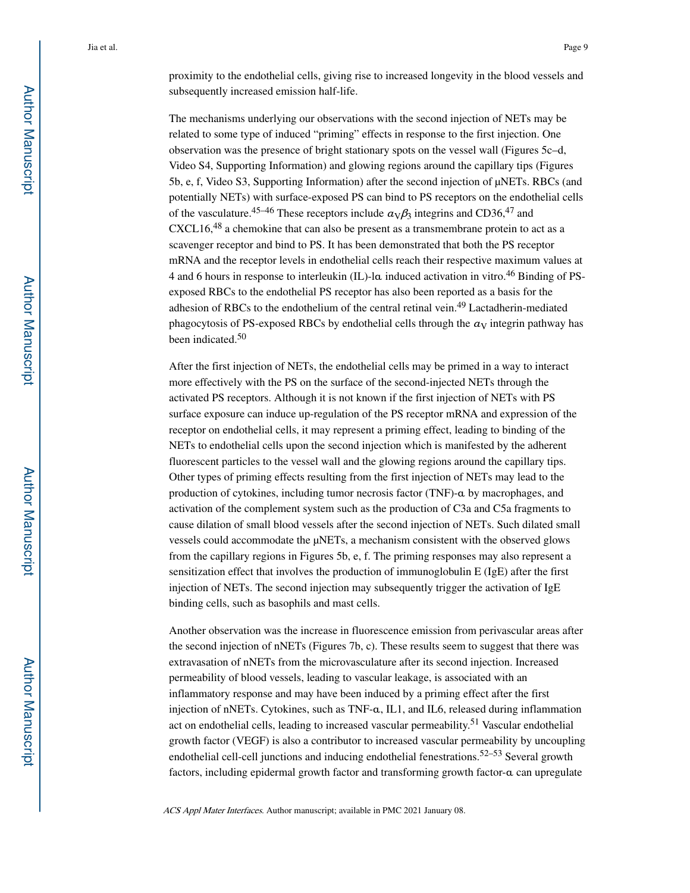proximity to the endothelial cells, giving rise to increased longevity in the blood vessels and subsequently increased emission half-life.

The mechanisms underlying our observations with the second injection of NETs may be related to some type of induced "priming" effects in response to the first injection. One observation was the presence of bright stationary spots on the vessel wall (Figures 5c–d, Video S4, Supporting Information) and glowing regions around the capillary tips (Figures 5b, e, f, Video S3, Supporting Information) after the second injection of μNETs. RBCs (and potentially NETs) with surface-exposed PS can bind to PS receptors on the endothelial cells of the vasculature.<sup>45–46</sup> These receptors include  $a_V \beta_3$  integrins and CD36,<sup>47</sup> and CXCL16,48 a chemokine that can also be present as a transmembrane protein to act as a scavenger receptor and bind to PS. It has been demonstrated that both the PS receptor mRNA and the receptor levels in endothelial cells reach their respective maximum values at 4 and 6 hours in response to interleukin (IL)-lα induced activation in vitro.46 Binding of PSexposed RBCs to the endothelial PS receptor has also been reported as a basis for the adhesion of RBCs to the endothelium of the central retinal vein.49 Lactadherin-mediated phagocytosis of PS-exposed RBCs by endothelial cells through the  $a_V$  integrin pathway has been indicated.<sup>50</sup>

After the first injection of NETs, the endothelial cells may be primed in a way to interact more effectively with the PS on the surface of the second-injected NETs through the activated PS receptors. Although it is not known if the first injection of NETs with PS surface exposure can induce up-regulation of the PS receptor mRNA and expression of the receptor on endothelial cells, it may represent a priming effect, leading to binding of the NETs to endothelial cells upon the second injection which is manifested by the adherent fluorescent particles to the vessel wall and the glowing regions around the capillary tips. Other types of priming effects resulting from the first injection of NETs may lead to the production of cytokines, including tumor necrosis factor (TNF)-α by macrophages, and activation of the complement system such as the production of C3a and C5a fragments to cause dilation of small blood vessels after the second injection of NETs. Such dilated small vessels could accommodate the μNETs, a mechanism consistent with the observed glows from the capillary regions in Figures 5b, e, f. The priming responses may also represent a sensitization effect that involves the production of immunoglobulin E (IgE) after the first injection of NETs. The second injection may subsequently trigger the activation of IgE binding cells, such as basophils and mast cells.

Another observation was the increase in fluorescence emission from perivascular areas after the second injection of nNETs (Figures 7b, c). These results seem to suggest that there was extravasation of nNETs from the microvasculature after its second injection. Increased permeability of blood vessels, leading to vascular leakage, is associated with an inflammatory response and may have been induced by a priming effect after the first injection of nNETs. Cytokines, such as TNF-α, IL1, and IL6, released during inflammation act on endothelial cells, leading to increased vascular permeability.<sup>51</sup> Vascular endothelial growth factor (VEGF) is also a contributor to increased vascular permeability by uncoupling endothelial cell-cell junctions and inducing endothelial fenestrations.<sup>52–53</sup> Several growth factors, including epidermal growth factor and transforming growth factor-α can upregulate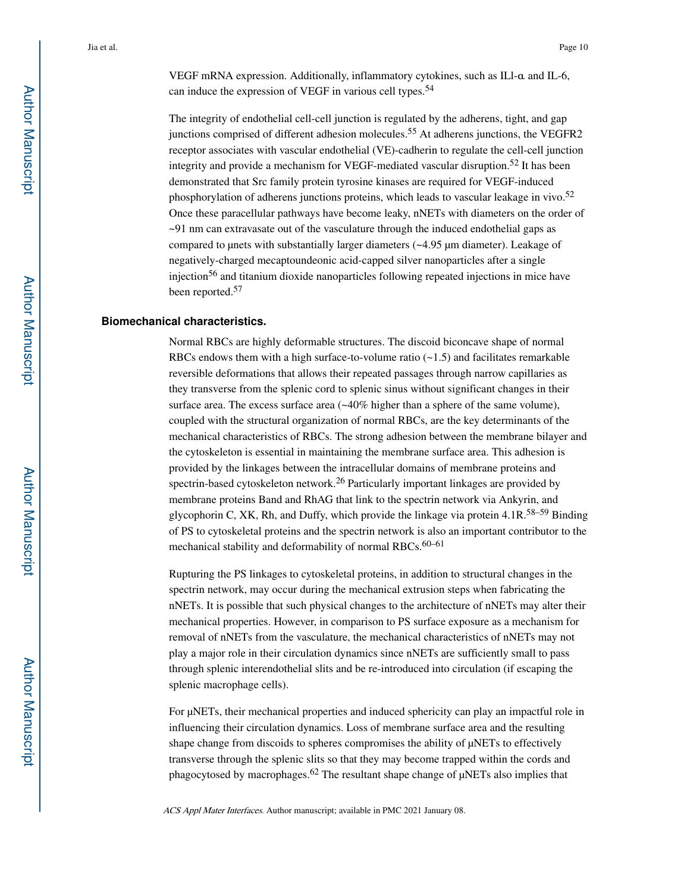VEGF mRNA expression. Additionally, inflammatory cytokines, such as ILl-α and IL-6, can induce the expression of VEGF in various cell types.<sup>54</sup>

The integrity of endothelial cell-cell junction is regulated by the adherens, tight, and gap junctions comprised of different adhesion molecules.<sup>55</sup> At adherens junctions, the VEGFR2 receptor associates with vascular endothelial (VE)-cadherin to regulate the cell-cell junction integrity and provide a mechanism for VEGF-mediated vascular disruption.52 It has been demonstrated that Src family protein tyrosine kinases are required for VEGF-induced phosphorylation of adherens junctions proteins, which leads to vascular leakage in vivo.<sup>52</sup> Once these paracellular pathways have become leaky, nNETs with diameters on the order of ~91 nm can extravasate out of the vasculature through the induced endothelial gaps as compared to μnets with substantially larger diameters (~4.95 μm diameter). Leakage of negatively-charged mecaptoundeonic acid-capped silver nanoparticles after a single injection<sup>56</sup> and titanium dioxide nanoparticles following repeated injections in mice have been reported.<sup>57</sup>

#### **Biomechanical characteristics.**

Normal RBCs are highly deformable structures. The discoid biconcave shape of normal RBCs endows them with a high surface-to-volume ratio  $(-1.5)$  and facilitates remarkable reversible deformations that allows their repeated passages through narrow capillaries as they transverse from the splenic cord to splenic sinus without significant changes in their surface area. The excess surface area (~40% higher than a sphere of the same volume), coupled with the structural organization of normal RBCs, are the key determinants of the mechanical characteristics of RBCs. The strong adhesion between the membrane bilayer and the cytoskeleton is essential in maintaining the membrane surface area. This adhesion is provided by the linkages between the intracellular domains of membrane proteins and spectrin-based cytoskeleton network.<sup>26</sup> Particularly important linkages are provided by membrane proteins Band and RhAG that link to the spectrin network via Ankyrin, and glycophorin C, XK, Rh, and Duffy, which provide the linkage via protein 4.1R.58–59 Binding of PS to cytoskeletal proteins and the spectrin network is also an important contributor to the mechanical stability and deformability of normal RBCs.<sup>60-61</sup>

Rupturing the PS linkages to cytoskeletal proteins, in addition to structural changes in the spectrin network, may occur during the mechanical extrusion steps when fabricating the nNETs. It is possible that such physical changes to the architecture of nNETs may alter their mechanical properties. However, in comparison to PS surface exposure as a mechanism for removal of nNETs from the vasculature, the mechanical characteristics of nNETs may not play a major role in their circulation dynamics since nNETs are sufficiently small to pass through splenic interendothelial slits and be re-introduced into circulation (if escaping the splenic macrophage cells).

For μNETs, their mechanical properties and induced sphericity can play an impactful role in influencing their circulation dynamics. Loss of membrane surface area and the resulting shape change from discoids to spheres compromises the ability of μNETs to effectively transverse through the splenic slits so that they may become trapped within the cords and phagocytosed by macrophages.<sup>62</sup> The resultant shape change of  $\mu$ NETs also implies that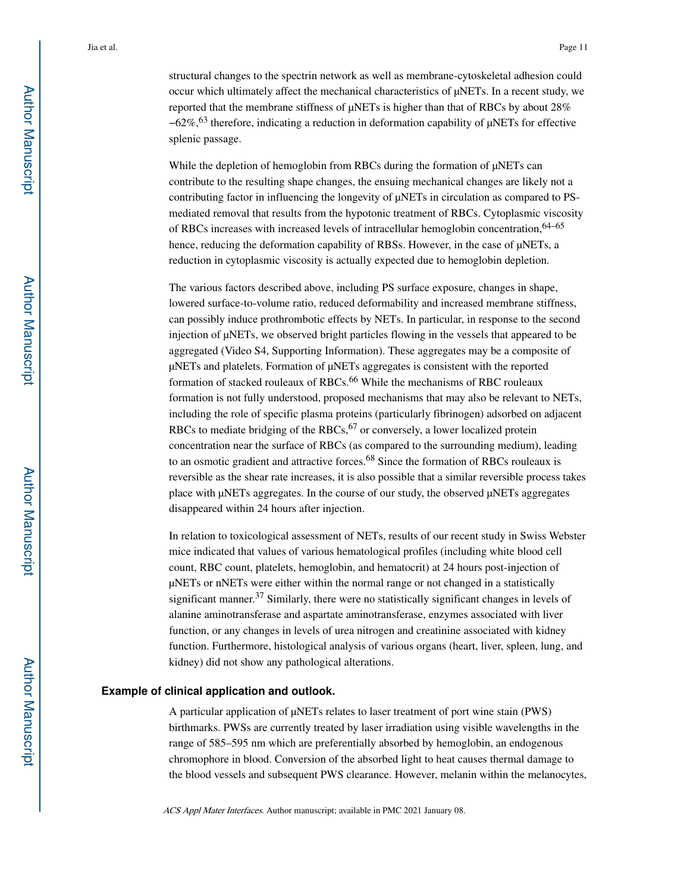structural changes to the spectrin network as well as membrane-cytoskeletal adhesion could occur which ultimately affect the mechanical characteristics of μNETs. In a recent study, we reported that the membrane stiffness of μNETs is higher than that of RBCs by about 28% −62%,63 therefore, indicating a reduction in deformation capability of μNETs for effective splenic passage.

While the depletion of hemoglobin from RBCs during the formation of μNETs can contribute to the resulting shape changes, the ensuing mechanical changes are likely not a contributing factor in influencing the longevity of μNETs in circulation as compared to PSmediated removal that results from the hypotonic treatment of RBCs. Cytoplasmic viscosity of RBCs increases with increased levels of intracellular hemoglobin concentration,64–65 hence, reducing the deformation capability of RBSs. However, in the case of μNETs, a reduction in cytoplasmic viscosity is actually expected due to hemoglobin depletion.

The various factors described above, including PS surface exposure, changes in shape, lowered surface-to-volume ratio, reduced deformability and increased membrane stiffness, can possibly induce prothrombotic effects by NETs. In particular, in response to the second injection of μNETs, we observed bright particles flowing in the vessels that appeared to be aggregated (Video S4, Supporting Information). These aggregates may be a composite of μNETs and platelets. Formation of μNETs aggregates is consistent with the reported formation of stacked rouleaux of RBCs.<sup>66</sup> While the mechanisms of RBC rouleaux formation is not fully understood, proposed mechanisms that may also be relevant to NETs, including the role of specific plasma proteins (particularly fibrinogen) adsorbed on adjacent RBCs to mediate bridging of the RBCs,  $67$  or conversely, a lower localized protein concentration near the surface of RBCs (as compared to the surrounding medium), leading to an osmotic gradient and attractive forces.<sup>68</sup> Since the formation of RBCs rouleaux is reversible as the shear rate increases, it is also possible that a similar reversible process takes place with μNETs aggregates. In the course of our study, the observed μNETs aggregates disappeared within 24 hours after injection.

In relation to toxicological assessment of NETs, results of our recent study in Swiss Webster mice indicated that values of various hematological profiles (including white blood cell count, RBC count, platelets, hemoglobin, and hematocrit) at 24 hours post-injection of μNETs or nNETs were either within the normal range or not changed in a statistically significant manner.<sup>37</sup> Similarly, there were no statistically significant changes in levels of alanine aminotransferase and aspartate aminotransferase, enzymes associated with liver function, or any changes in levels of urea nitrogen and creatinine associated with kidney function. Furthermore, histological analysis of various organs (heart, liver, spleen, lung, and kidney) did not show any pathological alterations.

#### **Example of clinical application and outlook.**

A particular application of μNETs relates to laser treatment of port wine stain (PWS) birthmarks. PWSs are currently treated by laser irradiation using visible wavelengths in the range of 585–595 nm which are preferentially absorbed by hemoglobin, an endogenous chromophore in blood. Conversion of the absorbed light to heat causes thermal damage to the blood vessels and subsequent PWS clearance. However, melanin within the melanocytes,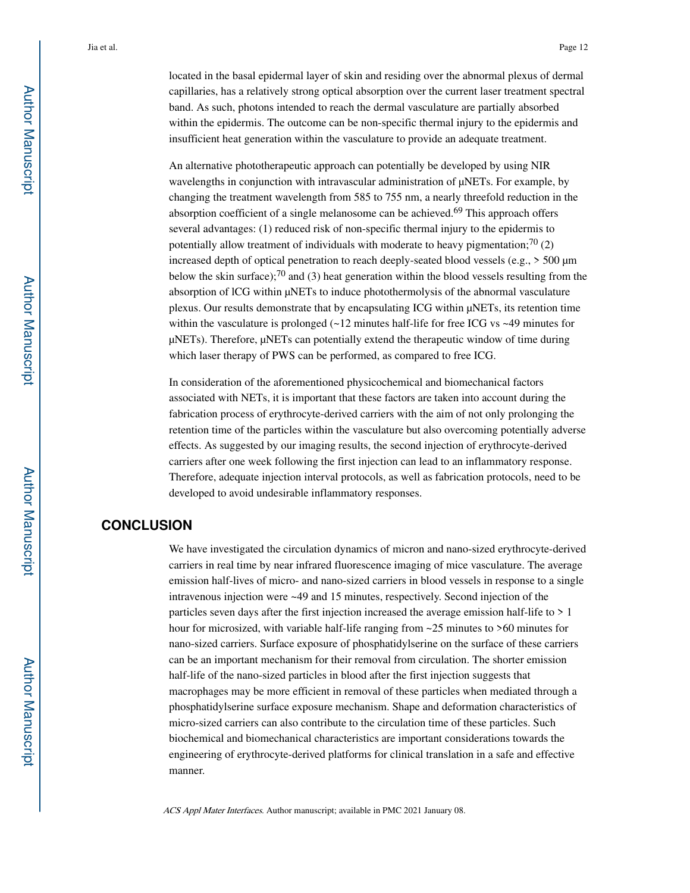located in the basal epidermal layer of skin and residing over the abnormal plexus of dermal capillaries, has a relatively strong optical absorption over the current laser treatment spectral band. As such, photons intended to reach the dermal vasculature are partially absorbed within the epidermis. The outcome can be non-specific thermal injury to the epidermis and insufficient heat generation within the vasculature to provide an adequate treatment.

An alternative phototherapeutic approach can potentially be developed by using NIR wavelengths in conjunction with intravascular administration of μNETs. For example, by changing the treatment wavelength from 585 to 755 nm, a nearly threefold reduction in the absorption coefficient of a single melanosome can be achieved.<sup>69</sup> This approach offers several advantages: (1) reduced risk of non-specific thermal injury to the epidermis to potentially allow treatment of individuals with moderate to heavy pigmentation;<sup>70</sup> (2) increased depth of optical penetration to reach deeply-seated blood vessels (e.g., > 500 μm below the skin surface);<sup>70</sup> and (3) heat generation within the blood vessels resulting from the absorption of lCG within μNETs to induce photothermolysis of the abnormal vasculature plexus. Our results demonstrate that by encapsulating ICG within μNETs, its retention time within the vasculature is prolonged  $(-12 \text{ minutes half-life}$  for free ICG vs  $-49 \text{ minutes}$  for μNETs). Therefore, μNETs can potentially extend the therapeutic window of time during which laser therapy of PWS can be performed, as compared to free ICG.

In consideration of the aforementioned physicochemical and biomechanical factors associated with NETs, it is important that these factors are taken into account during the fabrication process of erythrocyte-derived carriers with the aim of not only prolonging the retention time of the particles within the vasculature but also overcoming potentially adverse effects. As suggested by our imaging results, the second injection of erythrocyte-derived carriers after one week following the first injection can lead to an inflammatory response. Therefore, adequate injection interval protocols, as well as fabrication protocols, need to be developed to avoid undesirable inflammatory responses.

### **CONCLUSION**

We have investigated the circulation dynamics of micron and nano-sized erythrocyte-derived carriers in real time by near infrared fluorescence imaging of mice vasculature. The average emission half-lives of micro- and nano-sized carriers in blood vessels in response to a single intravenous injection were ~49 and 15 minutes, respectively. Second injection of the particles seven days after the first injection increased the average emission half-life to > 1 hour for microsized, with variable half-life ranging from ~25 minutes to >60 minutes for nano-sized carriers. Surface exposure of phosphatidylserine on the surface of these carriers can be an important mechanism for their removal from circulation. The shorter emission half-life of the nano-sized particles in blood after the first injection suggests that macrophages may be more efficient in removal of these particles when mediated through a phosphatidylserine surface exposure mechanism. Shape and deformation characteristics of micro-sized carriers can also contribute to the circulation time of these particles. Such biochemical and biomechanical characteristics are important considerations towards the engineering of erythrocyte-derived platforms for clinical translation in a safe and effective manner.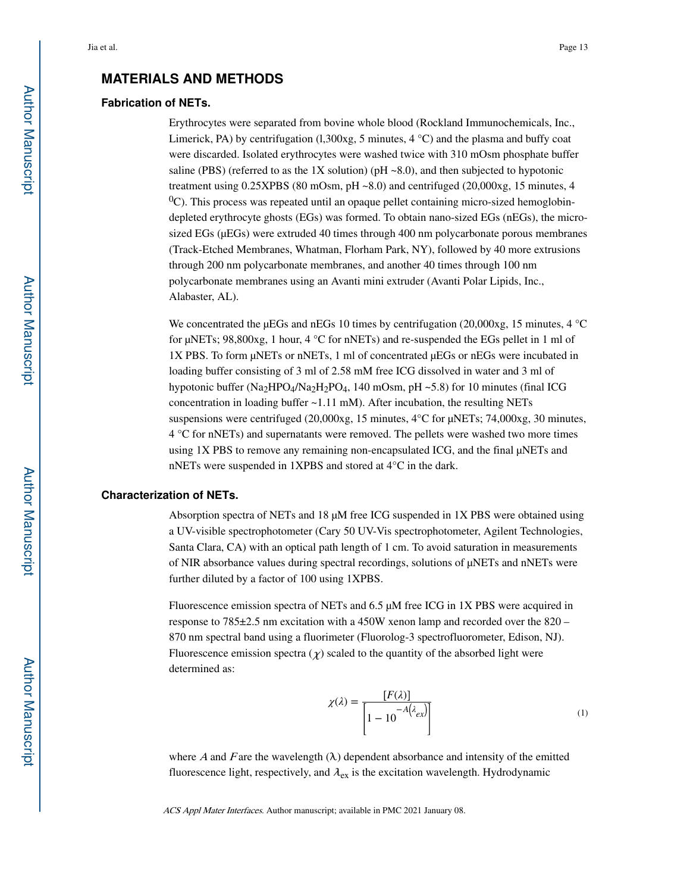#### **MATERIALS AND METHODS**

#### **Fabrication of NETs.**

Erythrocytes were separated from bovine whole blood (Rockland Immunochemicals, Inc., Limerick, PA) by centrifugation (1,300xg, 5 minutes,  $4^{\circ}$ C) and the plasma and buffy coat were discarded. Isolated erythrocytes were washed twice with 310 mOsm phosphate buffer saline (PBS) (referred to as the 1X solution) (pH  $\sim$ 8.0), and then subjected to hypotonic treatment using 0.25XPBS (80 mOsm, pH ~8.0) and centrifuged (20,000xg, 15 minutes, 4  ${}^{0}C$ ). This process was repeated until an opaque pellet containing micro-sized hemoglobindepleted erythrocyte ghosts (EGs) was formed. To obtain nano-sized EGs (nEGs), the microsized EGs (μEGs) were extruded 40 times through 400 nm polycarbonate porous membranes (Track-Etched Membranes, Whatman, Florham Park, NY), followed by 40 more extrusions through 200 nm polycarbonate membranes, and another 40 times through 100 nm polycarbonate membranes using an Avanti mini extruder (Avanti Polar Lipids, Inc., Alabaster, AL).

We concentrated the µEGs and nEGs 10 times by centrifugation (20,000xg, 15 minutes, 4  $^{\circ}$ C) for μNETs; 98,800xg, 1 hour, 4 °C for nNETs) and re-suspended the EGs pellet in 1 ml of 1X PBS. To form μNETs or nNETs, 1 ml of concentrated μEGs or nEGs were incubated in loading buffer consisting of 3 ml of 2.58 mM free ICG dissolved in water and 3 ml of hypotonic buffer  $(Na_2HPO_4/Na_2H_2PO_4$ , 140 mOsm, pH ~5.8) for 10 minutes (final ICG concentration in loading buffer ~1.11 mM). After incubation, the resulting NETs suspensions were centrifuged (20,000xg, 15 minutes, 4°C for μNETs; 74,000xg, 30 minutes, 4 °C for nNETs) and supernatants were removed. The pellets were washed two more times using 1X PBS to remove any remaining non-encapsulated ICG, and the final μNETs and nNETs were suspended in 1XPBS and stored at 4°C in the dark.

#### **Characterization of NETs.**

Absorption spectra of NETs and 18 μM free ICG suspended in 1X PBS were obtained using a UV-visible spectrophotometer (Cary 50 UV-Vis spectrophotometer, Agilent Technologies, Santa Clara, CA) with an optical path length of 1 cm. To avoid saturation in measurements of NIR absorbance values during spectral recordings, solutions of μNETs and nNETs were further diluted by a factor of 100 using 1XPBS.

Fluorescence emission spectra of NETs and 6.5 μM free ICG in 1X PBS were acquired in response to 785±2.5 nm excitation with a 450W xenon lamp and recorded over the 820 – 870 nm spectral band using a fluorimeter (Fluorolog-3 spectrofluorometer, Edison, NJ). Fluorescence emission spectra  $(\chi)$  scaled to the quantity of the absorbed light were determined as:

$$
\chi(\lambda) = \frac{[F(\lambda)]}{\left|1 - 10^{-A(\lambda_{ex})}\right|} \tag{1}
$$

where A and F are the wavelength  $(\lambda)$  dependent absorbance and intensity of the emitted fluorescence light, respectively, and  $\lambda_{ex}$  is the excitation wavelength. Hydrodynamic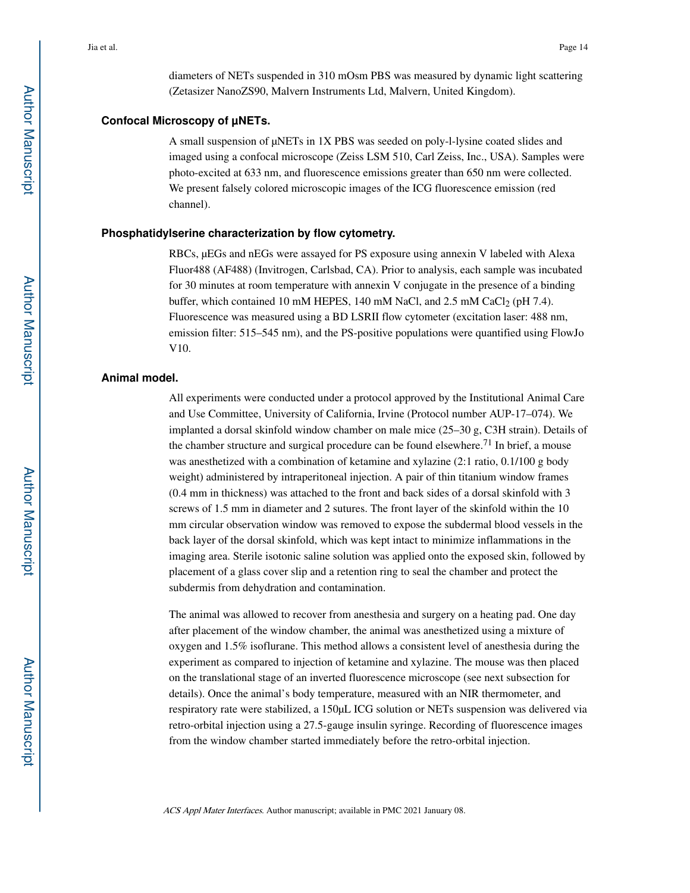diameters of NETs suspended in 310 mOsm PBS was measured by dynamic light scattering (Zetasizer NanoZS90, Malvern Instruments Ltd, Malvern, United Kingdom).

#### **Confocal Microscopy of µNETs.**

A small suspension of μNETs in 1X PBS was seeded on poly-l-lysine coated slides and imaged using a confocal microscope (Zeiss LSM 510, Carl Zeiss, Inc., USA). Samples were photo-excited at 633 nm, and fluorescence emissions greater than 650 nm were collected. We present falsely colored microscopic images of the ICG fluorescence emission (red channel).

#### **Phosphatidylserine characterization by flow cytometry.**

RBCs, μEGs and nEGs were assayed for PS exposure using annexin V labeled with Alexa Fluor488 (AF488) (Invitrogen, Carlsbad, CA). Prior to analysis, each sample was incubated for 30 minutes at room temperature with annexin V conjugate in the presence of a binding buffer, which contained 10 mM HEPES, 140 mM NaCl, and 2.5 mM CaCl<sub>2</sub> (pH 7.4). Fluorescence was measured using a BD LSRII flow cytometer (excitation laser: 488 nm, emission filter: 515–545 nm), and the PS-positive populations were quantified using FlowJo V10.

#### **Animal model.**

All experiments were conducted under a protocol approved by the Institutional Animal Care and Use Committee, University of California, Irvine (Protocol number AUP-17–074). We implanted a dorsal skinfold window chamber on male mice (25–30 g, C3H strain). Details of the chamber structure and surgical procedure can be found elsewhere.<sup>71</sup> In brief, a mouse was anesthetized with a combination of ketamine and xylazine (2:1 ratio, 0.1/100 g body weight) administered by intraperitoneal injection. A pair of thin titanium window frames (0.4 mm in thickness) was attached to the front and back sides of a dorsal skinfold with 3 screws of 1.5 mm in diameter and 2 sutures. The front layer of the skinfold within the 10 mm circular observation window was removed to expose the subdermal blood vessels in the back layer of the dorsal skinfold, which was kept intact to minimize inflammations in the imaging area. Sterile isotonic saline solution was applied onto the exposed skin, followed by placement of a glass cover slip and a retention ring to seal the chamber and protect the subdermis from dehydration and contamination.

The animal was allowed to recover from anesthesia and surgery on a heating pad. One day after placement of the window chamber, the animal was anesthetized using a mixture of oxygen and 1.5% isoflurane. This method allows a consistent level of anesthesia during the experiment as compared to injection of ketamine and xylazine. The mouse was then placed on the translational stage of an inverted fluorescence microscope (see next subsection for details). Once the animal's body temperature, measured with an NIR thermometer, and respiratory rate were stabilized, a 150μL ICG solution or NETs suspension was delivered via retro-orbital injection using a 27.5-gauge insulin syringe. Recording of fluorescence images from the window chamber started immediately before the retro-orbital injection.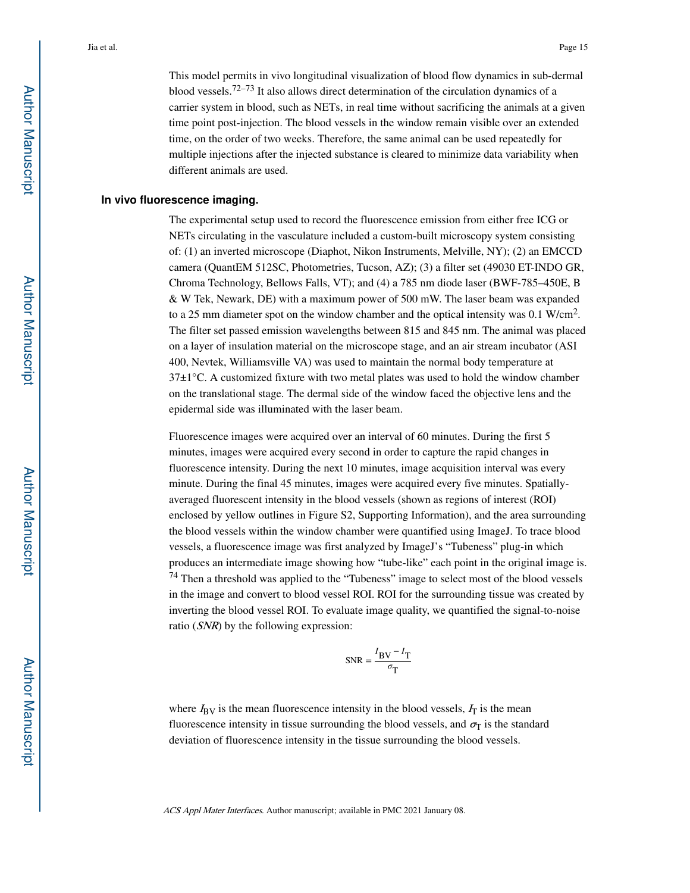This model permits in vivo longitudinal visualization of blood flow dynamics in sub-dermal blood vessels.<sup>72–73</sup> It also allows direct determination of the circulation dynamics of a carrier system in blood, such as NETs, in real time without sacrificing the animals at a given time point post-injection. The blood vessels in the window remain visible over an extended time, on the order of two weeks. Therefore, the same animal can be used repeatedly for multiple injections after the injected substance is cleared to minimize data variability when different animals are used.

#### **In vivo fluorescence imaging.**

The experimental setup used to record the fluorescence emission from either free ICG or NETs circulating in the vasculature included a custom-built microscopy system consisting of: (1) an inverted microscope (Diaphot, Nikon Instruments, Melville, NY); (2) an EMCCD camera (QuantEM 512SC, Photometries, Tucson, AZ); (3) a filter set (49030 ET-INDO GR, Chroma Technology, Bellows Falls, VT); and (4) a 785 nm diode laser (BWF-785–450E, B & W Tek, Newark, DE) with a maximum power of 500 mW. The laser beam was expanded to a 25 mm diameter spot on the window chamber and the optical intensity was  $0.1 \text{ W/cm}^2$ . The filter set passed emission wavelengths between 815 and 845 nm. The animal was placed on a layer of insulation material on the microscope stage, and an air stream incubator (ASI 400, Nevtek, Williamsville VA) was used to maintain the normal body temperature at  $37\pm1\degree$ C. A customized fixture with two metal plates was used to hold the window chamber on the translational stage. The dermal side of the window faced the objective lens and the epidermal side was illuminated with the laser beam.

Fluorescence images were acquired over an interval of 60 minutes. During the first 5 minutes, images were acquired every second in order to capture the rapid changes in fluorescence intensity. During the next 10 minutes, image acquisition interval was every minute. During the final 45 minutes, images were acquired every five minutes. Spatiallyaveraged fluorescent intensity in the blood vessels (shown as regions of interest (ROI) enclosed by yellow outlines in Figure S2, Supporting Information), and the area surrounding the blood vessels within the window chamber were quantified using ImageJ. To trace blood vessels, a fluorescence image was first analyzed by ImageJ's "Tubeness" plug-in which produces an intermediate image showing how "tube-like" each point in the original image is. <sup>74</sup> Then a threshold was applied to the "Tubeness" image to select most of the blood vessels in the image and convert to blood vessel ROI. ROI for the surrounding tissue was created by inverting the blood vessel ROI. To evaluate image quality, we quantified the signal-to-noise ratio (SNR) by the following expression:

$$
\text{SNR} = \frac{I_{\text{BV}} - I_{\text{T}}}{\sigma_{\text{T}}}
$$

where  $I_{\rm BV}$  is the mean fluorescence intensity in the blood vessels,  $I_{\rm T}$  is the mean fluorescence intensity in tissue surrounding the blood vessels, and  $\sigma_{\rm T}$  is the standard deviation of fluorescence intensity in the tissue surrounding the blood vessels.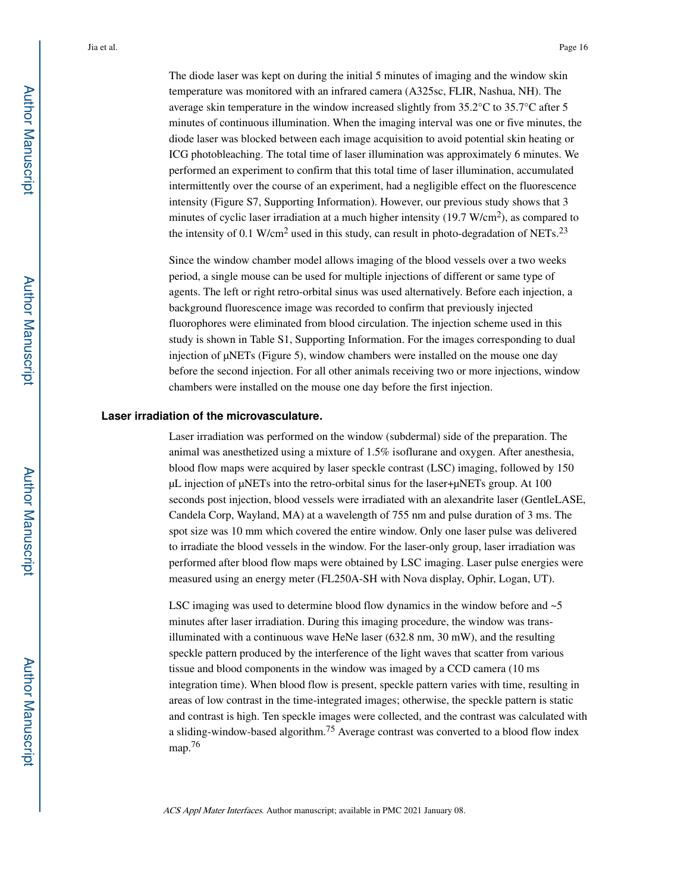The diode laser was kept on during the initial 5 minutes of imaging and the window skin temperature was monitored with an infrared camera (A325sc, FLIR, Nashua, NH). The average skin temperature in the window increased slightly from 35.2°C to 35.7°C after 5 minutes of continuous illumination. When the imaging interval was one or five minutes, the diode laser was blocked between each image acquisition to avoid potential skin heating or ICG photobleaching. The total time of laser illumination was approximately 6 minutes. We performed an experiment to confirm that this total time of laser illumination, accumulated intermittently over the course of an experiment, had a negligible effect on the fluorescence intensity (Figure S7, Supporting Information). However, our previous study shows that 3 minutes of cyclic laser irradiation at a much higher intensity  $(19.7 \text{ W/cm}^2)$ , as compared to the intensity of 0.1 W/cm<sup>2</sup> used in this study, can result in photo-degradation of NETs.<sup>23</sup>

Since the window chamber model allows imaging of the blood vessels over a two weeks period, a single mouse can be used for multiple injections of different or same type of agents. The left or right retro-orbital sinus was used alternatively. Before each injection, a background fluorescence image was recorded to confirm that previously injected fluorophores were eliminated from blood circulation. The injection scheme used in this study is shown in Table S1, Supporting Information. For the images corresponding to dual injection of μNETs (Figure 5), window chambers were installed on the mouse one day before the second injection. For all other animals receiving two or more injections, window chambers were installed on the mouse one day before the first injection.

#### **Laser irradiation of the microvasculature.**

Laser irradiation was performed on the window (subdermal) side of the preparation. The animal was anesthetized using a mixture of 1.5% isoflurane and oxygen. After anesthesia, blood flow maps were acquired by laser speckle contrast (LSC) imaging, followed by 150 μL injection of μNETs into the retro-orbital sinus for the laser+μNETs group. At 100 seconds post injection, blood vessels were irradiated with an alexandrite laser (GentleLASE, Candela Corp, Wayland, MA) at a wavelength of 755 nm and pulse duration of 3 ms. The spot size was 10 mm which covered the entire window. Only one laser pulse was delivered to irradiate the blood vessels in the window. For the laser-only group, laser irradiation was performed after blood flow maps were obtained by LSC imaging. Laser pulse energies were measured using an energy meter (FL250A-SH with Nova display, Ophir, Logan, UT).

LSC imaging was used to determine blood flow dynamics in the window before and  $\sim$ 5 minutes after laser irradiation. During this imaging procedure, the window was transilluminated with a continuous wave HeNe laser (632.8 nm, 30 mW), and the resulting speckle pattern produced by the interference of the light waves that scatter from various tissue and blood components in the window was imaged by a CCD camera (10 ms integration time). When blood flow is present, speckle pattern varies with time, resulting in areas of low contrast in the time-integrated images; otherwise, the speckle pattern is static and contrast is high. Ten speckle images were collected, and the contrast was calculated with a sliding-window-based algorithm.<sup>75</sup> Average contrast was converted to a blood flow index map.<sup>76</sup>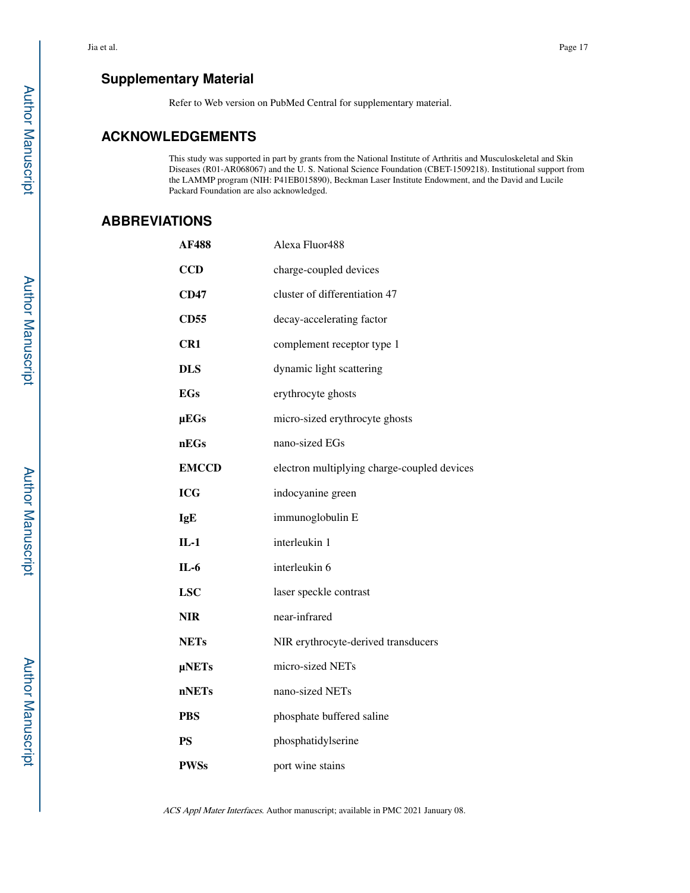## **Supplementary Material**

Refer to Web version on PubMed Central for supplementary material.

## **ACKNOWLEDGEMENTS**

This study was supported in part by grants from the National Institute of Arthritis and Musculoskeletal and Skin Diseases (R01-AR068067) and the U. S. National Science Foundation (CBET-1509218). Institutional support from the LAMMP program (NIH: P41EB015890), Beckman Laser Institute Endowment, and the David and Lucile Packard Foundation are also acknowledged.

## **ABBREVIATIONS**

| AF488           | Alexa Fluor488                              |
|-----------------|---------------------------------------------|
| <b>CCD</b>      | charge-coupled devices                      |
| <b>CD47</b>     | cluster of differentiation 47               |
| <b>CD55</b>     | decay-accelerating factor                   |
| CR <sub>1</sub> | complement receptor type 1                  |
| <b>DLS</b>      | dynamic light scattering                    |
| <b>EGs</b>      | erythrocyte ghosts                          |
| $\mu EGs$       | micro-sized erythrocyte ghosts              |
| nEGs            | nano-sized EGs                              |
| <b>EMCCD</b>    | electron multiplying charge-coupled devices |
| <b>ICG</b>      | indocyanine green                           |
| IgE             | immunoglobulin E                            |
| $IL-1$          | interleukin 1                               |
| $IL-6$          | interleukin 6                               |
| <b>LSC</b>      | laser speckle contrast                      |
| NIR             | near-infrared                               |
| <b>NETs</b>     | NIR erythrocyte-derived transducers         |
| $\mu$ NETs      | micro-sized NETs                            |
| nNETs           | nano-sized NETs                             |
| <b>PBS</b>      | phosphate buffered saline                   |
| <b>PS</b>       | phosphatidylserine                          |
| <b>PWSs</b>     | port wine stains                            |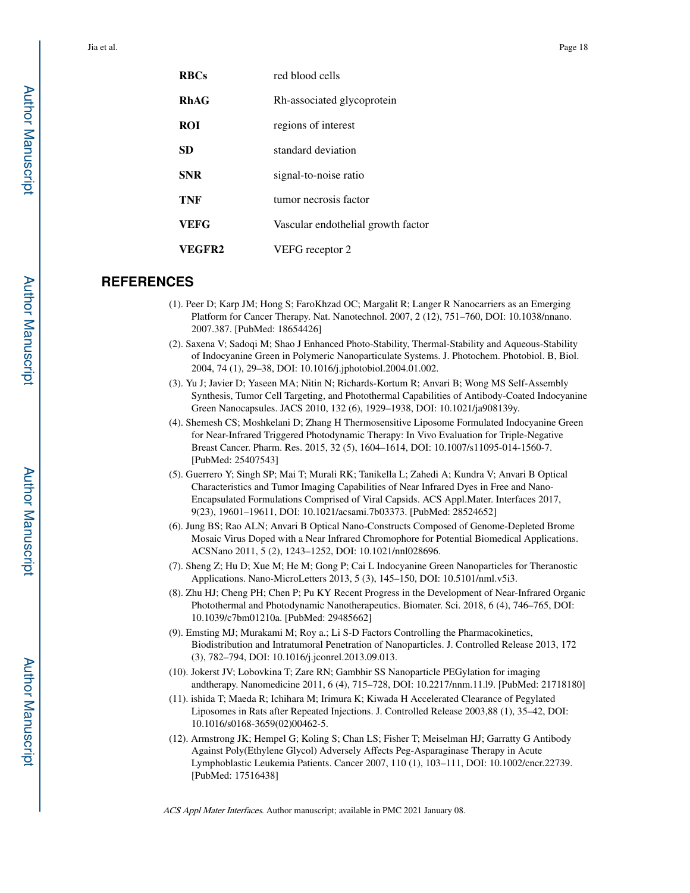| <b>RBCs</b> | red blood cells                    |
|-------------|------------------------------------|
| <b>RhAG</b> | Rh-associated glycoprotein         |
| <b>ROI</b>  | regions of interest                |
| SD          | standard deviation                 |
| <b>SNR</b>  | signal-to-noise ratio              |
| TNF         | tumor necrosis factor              |
| VEFG        | Vascular endothelial growth factor |
| VEGFR2      | VEFG receptor 2                    |

## **REFERENCES**

- (1). Peer D; Karp JM; Hong S; FaroKhzad OC; Margalit R; Langer R Nanocarriers as an Emerging Platform for Cancer Therapy. Nat. Nanotechnol. 2007, 2 (12), 751–760, DOI: 10.1038/nnano. 2007.387. [PubMed: 18654426]
- (2). Saxena V; Sadoqi M; Shao J Enhanced Photo-Stability, Thermal-Stability and Aqueous-Stability of Indocyanine Green in Polymeric Nanoparticulate Systems. J. Photochem. Photobiol. B, Biol. 2004, 74 (1), 29–38, DOI: 10.1016/j.jphotobiol.2004.01.002.
- (3). Yu J; Javier D; Yaseen MA; Nitin N; Richards-Kortum R; Anvari B; Wong MS Self-Assembly Synthesis, Tumor Cell Targeting, and Photothermal Capabilities of Antibody-Coated Indocyanine Green Nanocapsules. JACS 2010, 132 (6), 1929–1938, DOI: 10.1021/ja908139y.
- (4). Shemesh CS; Moshkelani D; Zhang H Thermosensitive Liposome Formulated Indocyanine Green for Near-Infrared Triggered Photodynamic Therapy: In Vivo Evaluation for Triple-Negative Breast Cancer. Pharm. Res. 2015, 32 (5), 1604–1614, DOI: 10.1007/s11095-014-1560-7. [PubMed: 25407543]
- (5). Guerrero Y; Singh SP; Mai T; Murali RK; Tanikella L; Zahedi A; Kundra V; Anvari B Optical Characteristics and Tumor Imaging Capabilities of Near Infrared Dyes in Free and Nano-Encapsulated Formulations Comprised of Viral Capsids. ACS Appl.Mater. Interfaces 2017, 9(23), 19601–19611, DOI: 10.1021/acsami.7b03373. [PubMed: 28524652]
- (6). Jung BS; Rao ALN; Anvari B Optical Nano-Constructs Composed of Genome-Depleted Brome Mosaic Virus Doped with a Near Infrared Chromophore for Potential Biomedical Applications. ACSNano 2011, 5 (2), 1243–1252, DOI: 10.1021/nnl028696.
- (7). Sheng Z; Hu D; Xue M; He M; Gong P; Cai L Indocyanine Green Nanoparticles for Theranostic Applications. Nano-MicroLetters 2013, 5 (3), 145–150, DOI: 10.5101/nml.v5i3.
- (8). Zhu HJ; Cheng PH; Chen P; Pu KY Recent Progress in the Development of Near-Infrared Organic Photothermal and Photodynamic Nanotherapeutics. Biomater. Sci. 2018, 6 (4), 746–765, DOI: 10.1039/c7bm01210a. [PubMed: 29485662]
- (9). Emsting MJ; Murakami M; Roy a.; Li S-D Factors Controlling the Pharmacokinetics, Biodistribution and Intratumoral Penetration of Nanoparticles. J. Controlled Release 2013, 172 (3), 782–794, DOI: 10.1016/j.jconrel.2013.09.013.
- (10). Jokerst JV; Lobovkina T; Zare RN; Gambhir SS Nanoparticle PEGylation for imaging andtherapy. Nanomedicine 2011, 6 (4), 715–728, DOI: 10.2217/nnm.11.l9. [PubMed: 21718180]
- (11). ishida T; Maeda R; Ichihara M; Irimura K; Kiwada H Accelerated Clearance of Pegylated Liposomes in Rats after Repeated Injections. J. Controlled Release 2003,88 (1), 35–42, DOI: 10.1016/s0168-3659(02)00462-5.
- (12). Armstrong JK; Hempel G; Koling S; Chan LS; Fisher T; Meiselman HJ; Garratty G Antibody Against Poly(Ethylene Glycol) Adversely Affects Peg-Asparaginase Therapy in Acute Lymphoblastic Leukemia Patients. Cancer 2007, 110 (1), 103–111, DOI: 10.1002/cncr.22739. [PubMed: 17516438]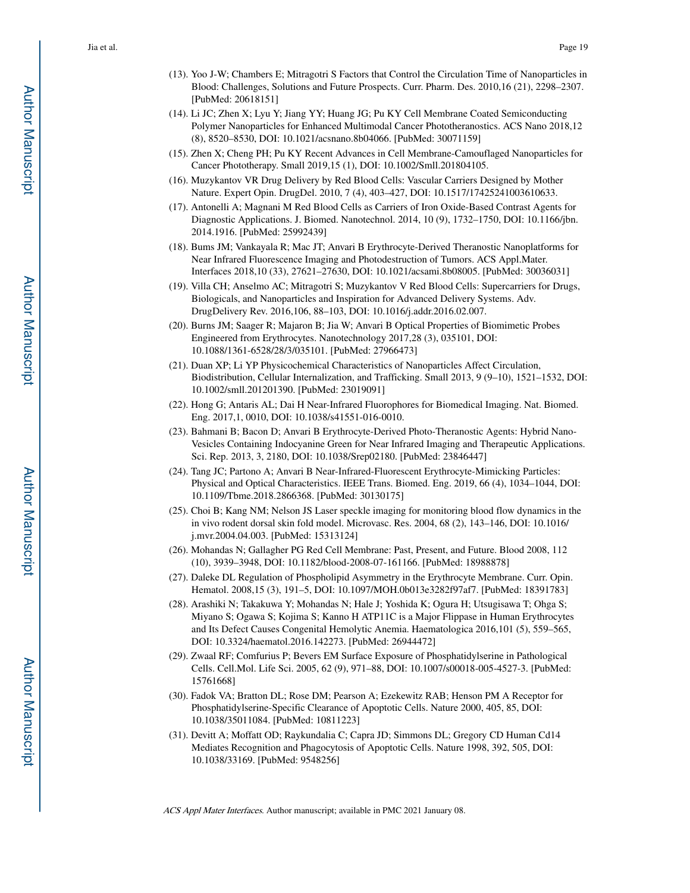- (13). Yoo J-W; Chambers E; Mitragotri S Factors that Control the Circulation Time of Nanoparticles in Blood: Challenges, Solutions and Future Prospects. Curr. Pharm. Des. 2010,16 (21), 2298–2307. [PubMed: 20618151]
- (14). Li JC; Zhen X; Lyu Y; Jiang YY; Huang JG; Pu KY Cell Membrane Coated Semiconducting Polymer Nanoparticles for Enhanced Multimodal Cancer Phototheranostics. ACS Nano 2018,12 (8), 8520–8530, DOI: 10.1021/acsnano.8b04066. [PubMed: 30071159]
- (15). Zhen X; Cheng PH; Pu KY Recent Advances in Cell Membrane-Camouflaged Nanoparticles for Cancer Phototherapy. Small 2019,15 (1), DOI: 10.1002/Smll.201804105.
- (16). Muzykantov VR Drug Delivery by Red Blood Cells: Vascular Carriers Designed by Mother Nature. Expert Opin. DrugDel. 2010, 7 (4), 403–427, DOI: 10.1517/17425241003610633.
- (17). Antonelli A; Magnani M Red Blood Cells as Carriers of Iron Oxide-Based Contrast Agents for Diagnostic Applications. J. Biomed. Nanotechnol. 2014, 10 (9), 1732–1750, DOI: 10.1166/jbn. 2014.1916. [PubMed: 25992439]
- (18). Bums JM; Vankayala R; Mac JT; Anvari B Erythrocyte-Derived Theranostic Nanoplatforms for Near Infrared Fluorescence Imaging and Photodestruction of Tumors. ACS Appl.Mater. Interfaces 2018,10 (33), 27621–27630, DOI: 10.1021/acsami.8b08005. [PubMed: 30036031]
- (19). Villa CH; Anselmo AC; Mitragotri S; Muzykantov V Red Blood Cells: Supercarriers for Drugs, Biologicals, and Nanoparticles and Inspiration for Advanced Delivery Systems. Adv. DrugDelivery Rev. 2016,106, 88–103, DOI: 10.1016/j.addr.2016.02.007.
- (20). Burns JM; Saager R; Majaron B; Jia W; Anvari B Optical Properties of Biomimetic Probes Engineered from Erythrocytes. Nanotechnology 2017,28 (3), 035101, DOI: 10.1088/1361-6528/28/3/035101. [PubMed: 27966473]
- (21). Duan XP; Li YP Physicochemical Characteristics of Nanoparticles Affect Circulation, Biodistribution, Cellular Internalization, and Trafficking. Small 2013, 9 (9–10), 1521–1532, DOI: 10.1002/smll.201201390. [PubMed: 23019091]
- (22). Hong G; Antaris AL; Dai H Near-Infrared Fluorophores for Biomedical Imaging. Nat. Biomed. Eng. 2017,1, 0010, DOI: 10.1038/s41551-016-0010.
- (23). Bahmani B; Bacon D; Anvari B Erythrocyte-Derived Photo-Theranostic Agents: Hybrid Nano-Vesicles Containing Indocyanine Green for Near Infrared Imaging and Therapeutic Applications. Sci. Rep. 2013, 3, 2180, DOI: 10.1038/Srep02180. [PubMed: 23846447]
- (24). Tang JC; Partono A; Anvari B Near-Infrared-Fluorescent Erythrocyte-Mimicking Particles: Physical and Optical Characteristics. IEEE Trans. Biomed. Eng. 2019, 66 (4), 1034–1044, DOI: 10.1109/Tbme.2018.2866368. [PubMed: 30130175]
- (25). Choi B; Kang NM; Nelson JS Laser speckle imaging for monitoring blood flow dynamics in the in vivo rodent dorsal skin fold model. Microvasc. Res. 2004, 68 (2), 143–146, DOI: 10.1016/ j.mvr.2004.04.003. [PubMed: 15313124]
- (26). Mohandas N; Gallagher PG Red Cell Membrane: Past, Present, and Future. Blood 2008, 112 (10), 3939–3948, DOI: 10.1182/blood-2008-07-161166. [PubMed: 18988878]
- (27). Daleke DL Regulation of Phospholipid Asymmetry in the Erythrocyte Membrane. Curr. Opin. Hematol. 2008,15 (3), 191–5, DOI: 10.1097/MOH.0b013e3282f97af7. [PubMed: 18391783]
- (28). Arashiki N; Takakuwa Y; Mohandas N; Hale J; Yoshida K; Ogura H; Utsugisawa T; Ohga S; Miyano S; Ogawa S; Kojima S; Kanno H ATP11C is a Major Flippase in Human Erythrocytes and Its Defect Causes Congenital Hemolytic Anemia. Haematologica 2016,101 (5), 559–565, DOI: 10.3324/haematol.2016.142273. [PubMed: 26944472]
- (29). Zwaal RF; Comfurius P; Bevers EM Surface Exposure of Phosphatidylserine in Pathological Cells. Cell.Mol. Life Sci. 2005, 62 (9), 971–88, DOI: 10.1007/s00018-005-4527-3. [PubMed: 15761668]
- (30). Fadok VA; Bratton DL; Rose DM; Pearson A; Ezekewitz RAB; Henson PM A Receptor for Phosphatidylserine-Specific Clearance of Apoptotic Cells. Nature 2000, 405, 85, DOI: 10.1038/35011084. [PubMed: 10811223]
- (31). Devitt A; Moffatt OD; Raykundalia C; Capra JD; Simmons DL; Gregory CD Human Cd14 Mediates Recognition and Phagocytosis of Apoptotic Cells. Nature 1998, 392, 505, DOI: 10.1038/33169. [PubMed: 9548256]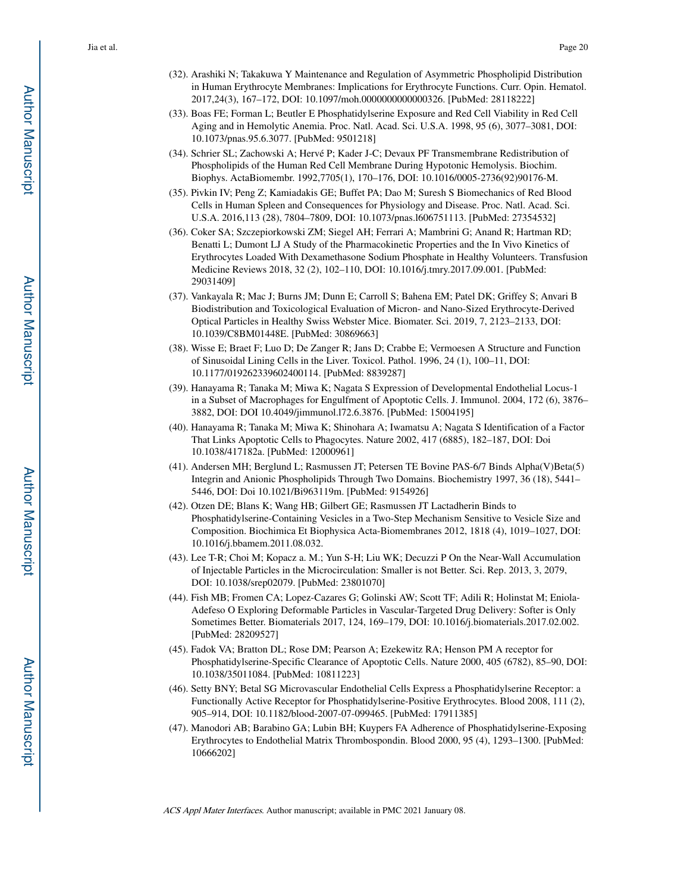- (32). Arashiki N; Takakuwa Y Maintenance and Regulation of Asymmetric Phospholipid Distribution in Human Erythrocyte Membranes: Implications for Erythrocyte Functions. Curr. Opin. Hematol. 2017,24(3), 167–172, DOI: 10.1097/moh.0000000000000326. [PubMed: 28118222]
- (33). Boas FE; Forman L; Beutler E Phosphatidylserine Exposure and Red Cell Viability in Red Cell Aging and in Hemolytic Anemia. Proc. Natl. Acad. Sci. U.S.A. 1998, 95 (6), 3077–3081, DOI: 10.1073/pnas.95.6.3077. [PubMed: 9501218]
- (34). Schrier SL; Zachowski A; Hervé P; Kader J-C; Devaux PF Transmembrane Redistribution of Phospholipids of the Human Red Cell Membrane During Hypotonic Hemolysis. Biochim. Biophys. ActaBiomembr. 1992,7705(1), 170–176, DOI: 10.1016/0005-2736(92)90176-M.
- (35). Pivkin IV; Peng Z; Kamiadakis GE; Buffet PA; Dao M; Suresh S Biomechanics of Red Blood Cells in Human Spleen and Consequences for Physiology and Disease. Proc. Natl. Acad. Sci. U.S.A. 2016,113 (28), 7804–7809, DOI: 10.1073/pnas.l606751113. [PubMed: 27354532]
- (36). Coker SA; Szczepiorkowski ZM; Siegel AH; Ferrari A; Mambrini G; Anand R; Hartman RD; Benatti L; Dumont LJ A Study of the Pharmacokinetic Properties and the In Vivo Kinetics of Erythrocytes Loaded With Dexamethasone Sodium Phosphate in Healthy Volunteers. Transfusion Medicine Reviews 2018, 32 (2), 102–110, DOI: 10.1016/j.tmry.2017.09.001. [PubMed: 29031409]
- (37). Vankayala R; Mac J; Burns JM; Dunn E; Carroll S; Bahena EM; Patel DK; Griffey S; Anvari B Biodistribution and Toxicological Evaluation of Micron- and Nano-Sized Erythrocyte-Derived Optical Particles in Healthy Swiss Webster Mice. Biomater. Sci. 2019, 7, 2123–2133, DOI: 10.1039/C8BM01448E. [PubMed: 30869663]
- (38). Wisse E; Braet F; Luo D; De Zanger R; Jans D; Crabbe E; Vermoesen A Structure and Function of Sinusoidal Lining Cells in the Liver. Toxicol. Pathol. 1996, 24 (1), 100–11, DOI: 10.1177/019262339602400114. [PubMed: 8839287]
- (39). Hanayama R; Tanaka M; Miwa K; Nagata S Expression of Developmental Endothelial Locus-1 in a Subset of Macrophages for Engulfment of Apoptotic Cells. J. Immunol. 2004, 172 (6), 3876– 3882, DOI: DOI 10.4049/jimmunol.l72.6.3876. [PubMed: 15004195]
- (40). Hanayama R; Tanaka M; Miwa K; Shinohara A; Iwamatsu A; Nagata S Identification of a Factor That Links Apoptotic Cells to Phagocytes. Nature 2002, 417 (6885), 182–187, DOI: Doi 10.1038/417182a. [PubMed: 12000961]
- (41). Andersen MH; Berglund L; Rasmussen JT; Petersen TE Bovine PAS-6/7 Binds Alpha(V)Beta(5) Integrin and Anionic Phospholipids Through Two Domains. Biochemistry 1997, 36 (18), 5441– 5446, DOI: Doi 10.1021/Bi963119m. [PubMed: 9154926]
- (42). Otzen DE; Blans K; Wang HB; Gilbert GE; Rasmussen JT Lactadherin Binds to Phosphatidylserine-Containing Vesicles in a Two-Step Mechanism Sensitive to Vesicle Size and Composition. Biochimica Et Biophysica Acta-Biomembranes 2012, 1818 (4), 1019–1027, DOI: 10.1016/j.bbamem.2011.08.032.
- (43). Lee T-R; Choi M; Kopacz a. M.; Yun S-H; Liu WK; Decuzzi P On the Near-Wall Accumulation of Injectable Particles in the Microcirculation: Smaller is not Better. Sci. Rep. 2013, 3, 2079, DOI: 10.1038/srep02079. [PubMed: 23801070]
- (44). Fish MB; Fromen CA; Lopez-Cazares G; Golinski AW; Scott TF; Adili R; Holinstat M; Eniola-Adefeso O Exploring Deformable Particles in Vascular-Targeted Drug Delivery: Softer is Only Sometimes Better. Biomaterials 2017, 124, 169–179, DOI: 10.1016/j.biomaterials.2017.02.002. [PubMed: 28209527]
- (45). Fadok VA; Bratton DL; Rose DM; Pearson A; Ezekewitz RA; Henson PM A receptor for Phosphatidylserine-Specific Clearance of Apoptotic Cells. Nature 2000, 405 (6782), 85–90, DOI: 10.1038/35011084. [PubMed: 10811223]
- (46). Setty BNY; Betal SG Microvascular Endothelial Cells Express a Phosphatidylserine Receptor: a Functionally Active Receptor for Phosphatidylserine-Positive Erythrocytes. Blood 2008, 111 (2), 905–914, DOI: 10.1182/blood-2007-07-099465. [PubMed: 17911385]
- (47). Manodori AB; Barabino GA; Lubin BH; Kuypers FA Adherence of Phosphatidylserine-Exposing Erythrocytes to Endothelial Matrix Thrombospondin. Blood 2000, 95 (4), 1293–1300. [PubMed: 10666202]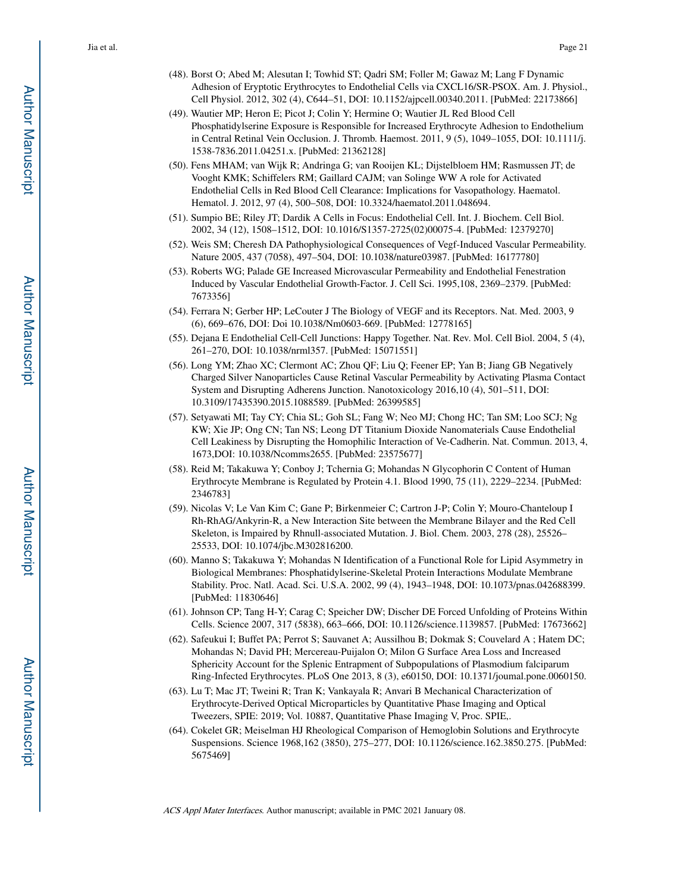- (48). Borst O; Abed M; Alesutan I; Towhid ST; Qadri SM; Foller M; Gawaz M; Lang F Dynamic Adhesion of Eryptotic Erythrocytes to Endothelial Cells via CXCL16/SR-PSOX. Am. J. Physiol., Cell Physiol. 2012, 302 (4), C644–51, DOI: 10.1152/ajpcell.00340.2011. [PubMed: 22173866]
- (49). Wautier MP; Heron E; Picot J; Colin Y; Hermine O; Wautier JL Red Blood Cell Phosphatidylserine Exposure is Responsible for Increased Erythrocyte Adhesion to Endothelium in Central Retinal Vein Occlusion. J. Thromb. Haemost. 2011, 9 (5), 1049–1055, DOI: 10.1111/j. 1538-7836.2011.04251.x. [PubMed: 21362128]
- (50). Fens MHAM; van Wijk R; Andringa G; van Rooijen KL; Dijstelbloem HM; Rasmussen JT; de Vooght KMK; Schiffelers RM; Gaillard CAJM; van Solinge WW A role for Activated Endothelial Cells in Red Blood Cell Clearance: Implications for Vasopathology. Haematol. Hematol. J. 2012, 97 (4), 500–508, DOI: 10.3324/haematol.2011.048694.
- (51). Sumpio BE; Riley JT; Dardik A Cells in Focus: Endothelial Cell. Int. J. Biochem. Cell Biol. 2002, 34 (12), 1508–1512, DOI: 10.1016/S1357-2725(02)00075-4. [PubMed: 12379270]
- (52). Weis SM; Cheresh DA Pathophysiological Consequences of Vegf-Induced Vascular Permeability. Nature 2005, 437 (7058), 497–504, DOI: 10.1038/nature03987. [PubMed: 16177780]
- (53). Roberts WG; Palade GE Increased Microvascular Permeability and Endothelial Fenestration Induced by Vascular Endothelial Growth-Factor. J. Cell Sci. 1995,108, 2369–2379. [PubMed: 7673356]
- (54). Ferrara N; Gerber HP; LeCouter J The Biology of VEGF and its Receptors. Nat. Med. 2003, 9 (6), 669–676, DOI: Doi 10.1038/Nm0603-669. [PubMed: 12778165]
- (55). Dejana E Endothelial Cell-Cell Junctions: Happy Together. Nat. Rev. Mol. Cell Biol. 2004, 5 (4), 261–270, DOI: 10.1038/nrml357. [PubMed: 15071551]
- (56). Long YM; Zhao XC; Clermont AC; Zhou QF; Liu Q; Feener EP; Yan B; Jiang GB Negatively Charged Silver Nanoparticles Cause Retinal Vascular Permeability by Activating Plasma Contact System and Disrupting Adherens Junction. Nanotoxicology 2016,10 (4), 501–511, DOI: 10.3109/17435390.2015.1088589. [PubMed: 26399585]
- (57). Setyawati MI; Tay CY; Chia SL; Goh SL; Fang W; Neo MJ; Chong HC; Tan SM; Loo SCJ; Ng KW; Xie JP; Ong CN; Tan NS; Leong DT Titanium Dioxide Nanomaterials Cause Endothelial Cell Leakiness by Disrupting the Homophilic Interaction of Ve-Cadherin. Nat. Commun. 2013, 4, 1673,DOI: 10.1038/Ncomms2655. [PubMed: 23575677]
- (58). Reid M; Takakuwa Y; Conboy J; Tchernia G; Mohandas N Glycophorin C Content of Human Erythrocyte Membrane is Regulated by Protein 4.1. Blood 1990, 75 (11), 2229–2234. [PubMed: 2346783]
- (59). Nicolas V; Le Van Kim C; Gane P; Birkenmeier C; Cartron J-P; Colin Y; Mouro-Chanteloup I Rh-RhAG/Ankyrin-R, a New Interaction Site between the Membrane Bilayer and the Red Cell Skeleton, is Impaired by Rhnull-associated Mutation. J. Biol. Chem. 2003, 278 (28), 25526– 25533, DOI: 10.1074/jbc.M302816200.
- (60). Manno S; Takakuwa Y; Mohandas N Identification of a Functional Role for Lipid Asymmetry in Biological Membranes: Phosphatidylserine-Skeletal Protein Interactions Modulate Membrane Stability. Proc. Natl. Acad. Sci. U.S.A. 2002, 99 (4), 1943–1948, DOI: 10.1073/pnas.042688399. [PubMed: 11830646]
- (61). Johnson CP; Tang H-Y; Carag C; Speicher DW; Discher DE Forced Unfolding of Proteins Within Cells. Science 2007, 317 (5838), 663–666, DOI: 10.1126/science.1139857. [PubMed: 17673662]
- (62). Safeukui I; Buffet PA; Perrot S; Sauvanet A; Aussilhou B; Dokmak S; Couvelard A ; Hatem DC; Mohandas N; David PH; Mercereau-Puijalon O; Milon G Surface Area Loss and Increased Sphericity Account for the Splenic Entrapment of Subpopulations of Plasmodium falciparum Ring-Infected Erythrocytes. PLoS One 2013, 8 (3), e60150, DOI: 10.1371/joumal.pone.0060150.
- (63). Lu T; Mac JT; Tweini R; Tran K; Vankayala R; Anvari B Mechanical Characterization of Erythrocyte-Derived Optical Microparticles by Quantitative Phase Imaging and Optical Tweezers, SPIE: 2019; Vol. 10887, Quantitative Phase Imaging V, Proc. SPIE,.
- (64). Cokelet GR; Meiselman HJ Rheological Comparison of Hemoglobin Solutions and Erythrocyte Suspensions. Science 1968,162 (3850), 275–277, DOI: 10.1126/science.162.3850.275. [PubMed: 5675469]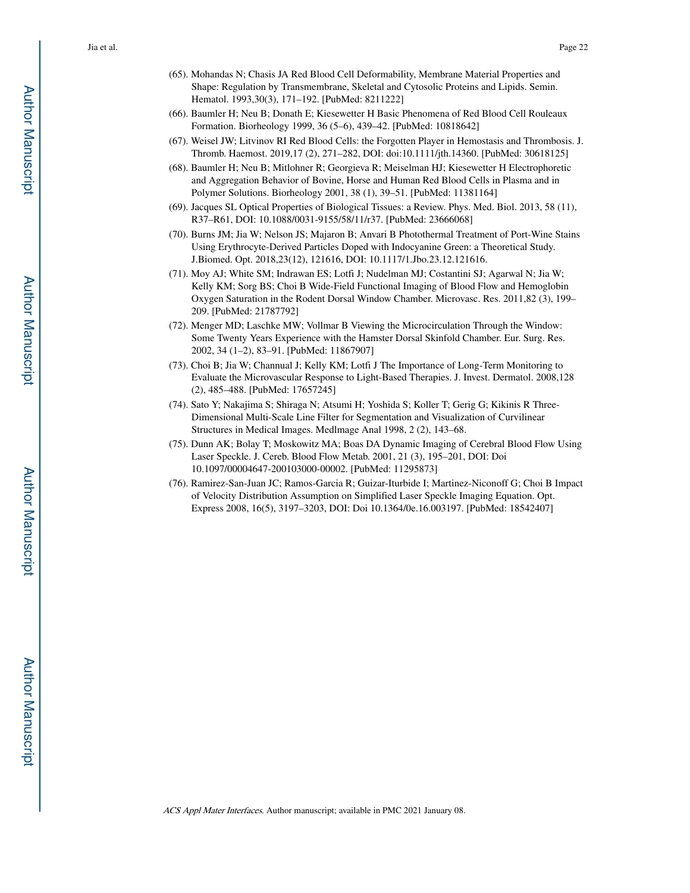- (65). Mohandas N; Chasis JA Red Blood Cell Deformability, Membrane Material Properties and Shape: Regulation by Transmembrane, Skeletal and Cytosolic Proteins and Lipids. Semin. Hematol. 1993,30(3), 171–192. [PubMed: 8211222]
- (66). Baumler H; Neu B; Donath E; Kiesewetter H Basic Phenomena of Red Blood Cell Rouleaux Formation. Biorheology 1999, 36 (5–6), 439–42. [PubMed: 10818642]
- (67). Weisel JW; Litvinov RI Red Blood Cells: the Forgotten Player in Hemostasis and Thrombosis. J. Thromb. Haemost. 2019,17 (2), 271–282, DOI: doi:10.1111/jth.14360. [PubMed: 30618125]
- (68). Baumler H; Neu B; Mitlohner R; Georgieva R; Meiselman HJ; Kiesewetter H Electrophoretic and Aggregation Behavior of Bovine, Horse and Human Red Blood Cells in Plasma and in Polymer Solutions. Biorheology 2001, 38 (1), 39–51. [PubMed: 11381164]
- (69). Jacques SL Optical Properties of Biological Tissues: a Review. Phys. Med. Biol. 2013, 58 (11), R37–R61, DOI: 10.1088/0031-9155/58/11/r37. [PubMed: 23666068]
- (70). Burns JM; Jia W; Nelson JS; Majaron B; Anvari B Photothermal Treatment of Port-Wine Stains Using Erythrocyte-Derived Particles Doped with Indocyanine Green: a Theoretical Study. J.Biomed. Opt. 2018,23(12), 121616, DOI: 10.1117/1.Jbo.23.12.121616.
- (71). Moy AJ; White SM; Indrawan ES; Lotfi J; Nudelman MJ; Costantini SJ; Agarwal N; Jia W; Kelly KM; Sorg BS; Choi B Wide-Field Functional Imaging of Blood Flow and Hemoglobin Oxygen Saturation in the Rodent Dorsal Window Chamber. Microvasc. Res. 2011,82 (3), 199– 209. [PubMed: 21787792]
- (72). Menger MD; Laschke MW; Vollmar B Viewing the Microcirculation Through the Window: Some Twenty Years Experience with the Hamster Dorsal Skinfold Chamber. Eur. Surg. Res. 2002, 34 (1–2), 83–91. [PubMed: 11867907]
- (73). Choi B; Jia W; Channual J; Kelly KM; Lotfi J The Importance of Long-Term Monitoring to Evaluate the Microvascular Response to Light-Based Therapies. J. Invest. Dermatol. 2008,128 (2), 485–488. [PubMed: 17657245]
- (74). Sato Y; Nakajima S; Shiraga N; Atsumi H; Yoshida S; Koller T; Gerig G; Kikinis R Three-Dimensional Multi-Scale Line Filter for Segmentation and Visualization of Curvilinear Structures in Medical Images. Medlmage Anal 1998, 2 (2), 143–68.
- (75). Dunn AK; Bolay T; Moskowitz MA; Boas DA Dynamic Imaging of Cerebral Blood Flow Using Laser Speckle. J. Cereb. Blood Flow Metab. 2001, 21 (3), 195–201, DOI: Doi 10.1097/00004647-200103000-00002. [PubMed: 11295873]
- (76). Ramirez-San-Juan JC; Ramos-Garcia R; Guizar-Iturbide I; Martinez-Niconoff G; Choi B Impact of Velocity Distribution Assumption on Simplified Laser Speckle Imaging Equation. Opt. Express 2008, 16(5), 3197–3203, DOI: Doi 10.1364/0e.16.003197. [PubMed: 18542407]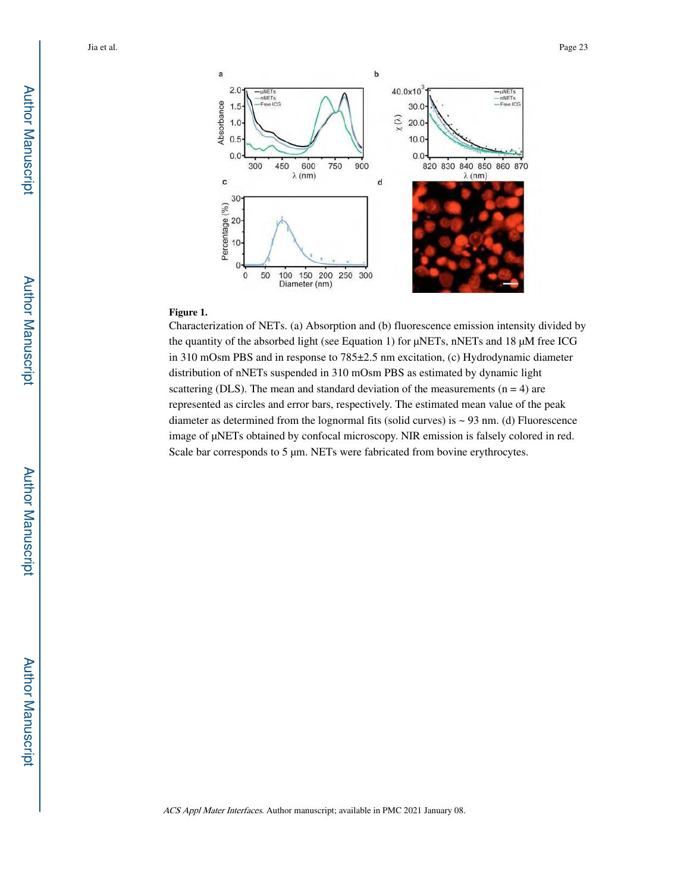

#### **Figure 1.**

Characterization of NETs. (a) Absorption and (b) fluorescence emission intensity divided by the quantity of the absorbed light (see Equation 1) for μNETs, nNETs and 18 μM free ICG in 310 mOsm PBS and in response to 785±2.5 nm excitation, (c) Hydrodynamic diameter distribution of nNETs suspended in 310 mOsm PBS as estimated by dynamic light scattering (DLS). The mean and standard deviation of the measurements  $(n = 4)$  are represented as circles and error bars, respectively. The estimated mean value of the peak diameter as determined from the lognormal fits (solid curves) is ~ 93 nm. (d) Fluorescence image of μNETs obtained by confocal microscopy. NIR emission is falsely colored in red. Scale bar corresponds to 5 μm. NETs were fabricated from bovine erythrocytes.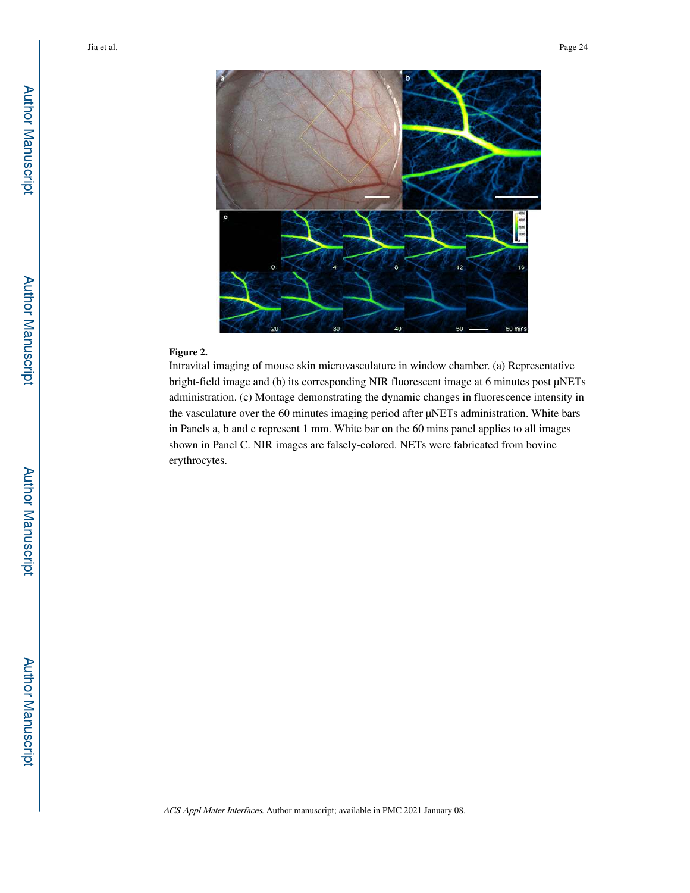

#### **Figure 2.**

Intravital imaging of mouse skin microvasculature in window chamber. (a) Representative bright-field image and (b) its corresponding NIR fluorescent image at 6 minutes post μNETs administration. (c) Montage demonstrating the dynamic changes in fluorescence intensity in the vasculature over the 60 minutes imaging period after μNETs administration. White bars in Panels a, b and c represent 1 mm. White bar on the 60 mins panel applies to all images shown in Panel C. NIR images are falsely-colored. NETs were fabricated from bovine erythrocytes.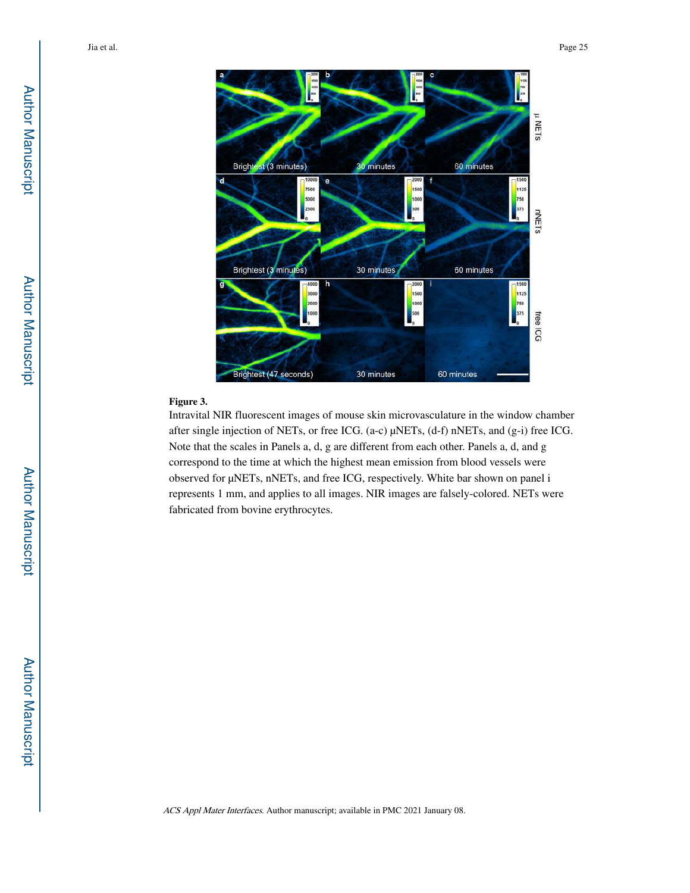

#### **Figure 3.**

Intravital NIR fluorescent images of mouse skin microvasculature in the window chamber after single injection of NETs, or free ICG. (a-c) μNETs, (d-f) nNETs, and (g-i) free ICG. Note that the scales in Panels a, d, g are different from each other. Panels a, d, and g correspond to the time at which the highest mean emission from blood vessels were observed for μNETs, nNETs, and free ICG, respectively. White bar shown on panel i represents 1 mm, and applies to all images. NIR images are falsely-colored. NETs were fabricated from bovine erythrocytes.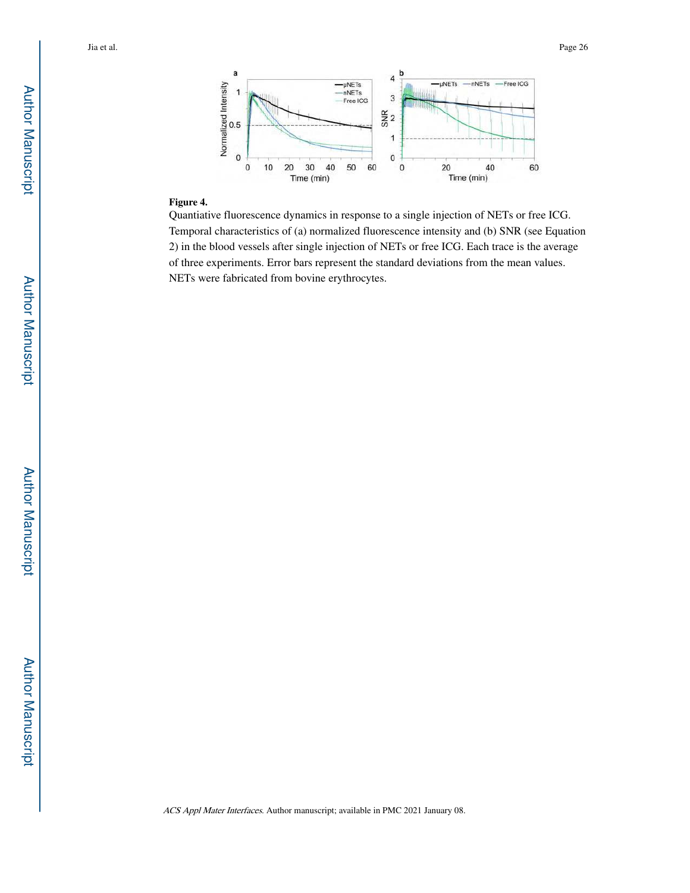

#### **Figure 4.**

Quantiative fluorescence dynamics in response to a single injection of NETs or free ICG. Temporal characteristics of (a) normalized fluorescence intensity and (b) SNR (see Equation 2) in the blood vessels after single injection of NETs or free ICG. Each trace is the average of three experiments. Error bars represent the standard deviations from the mean values. NETs were fabricated from bovine erythrocytes.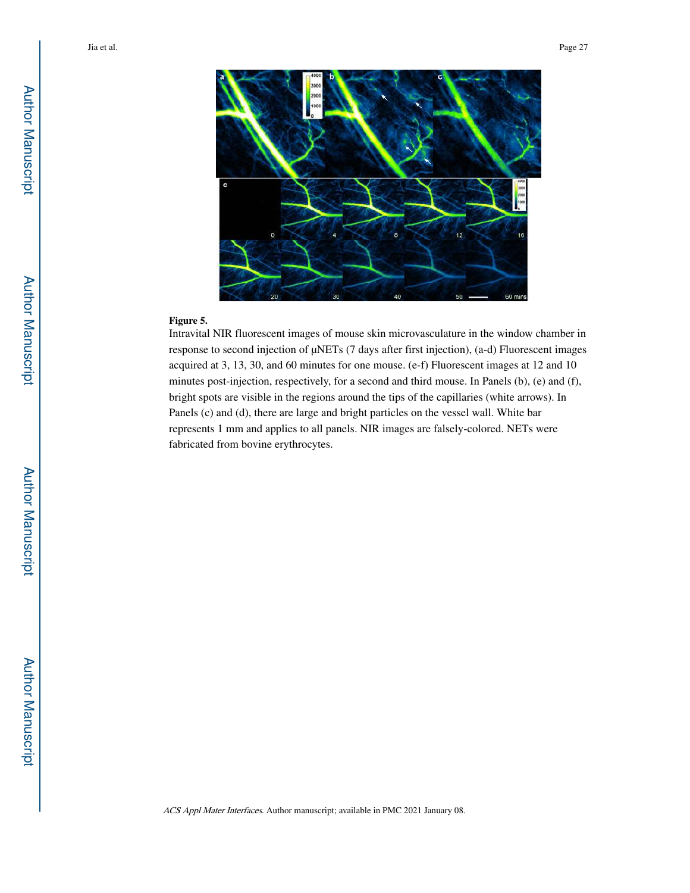

#### **Figure 5.**

Intravital NIR fluorescent images of mouse skin microvasculature in the window chamber in response to second injection of μNETs (7 days after first injection), (a-d) Fluorescent images acquired at 3, 13, 30, and 60 minutes for one mouse. (e-f) Fluorescent images at 12 and 10 minutes post-injection, respectively, for a second and third mouse. In Panels (b), (e) and (f), bright spots are visible in the regions around the tips of the capillaries (white arrows). In Panels (c) and (d), there are large and bright particles on the vessel wall. White bar represents 1 mm and applies to all panels. NIR images are falsely-colored. NETs were fabricated from bovine erythrocytes.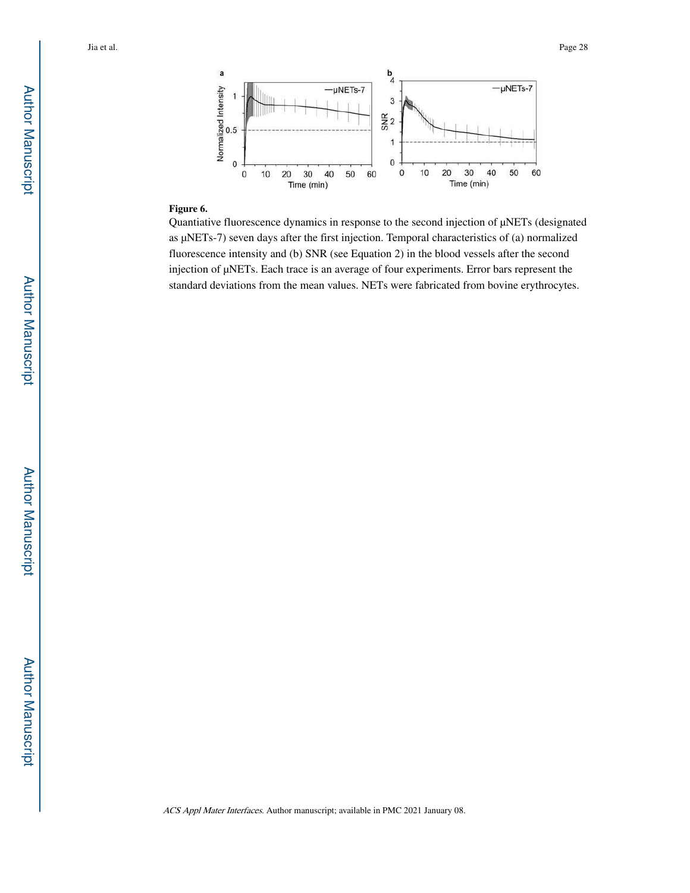

#### **Figure 6.**

Quantiative fluorescence dynamics in response to the second injection of μNETs (designated as μNETs-7) seven days after the first injection. Temporal characteristics of (a) normalized fluorescence intensity and (b) SNR (see Equation 2) in the blood vessels after the second injection of μNETs. Each trace is an average of four experiments. Error bars represent the standard deviations from the mean values. NETs were fabricated from bovine erythrocytes.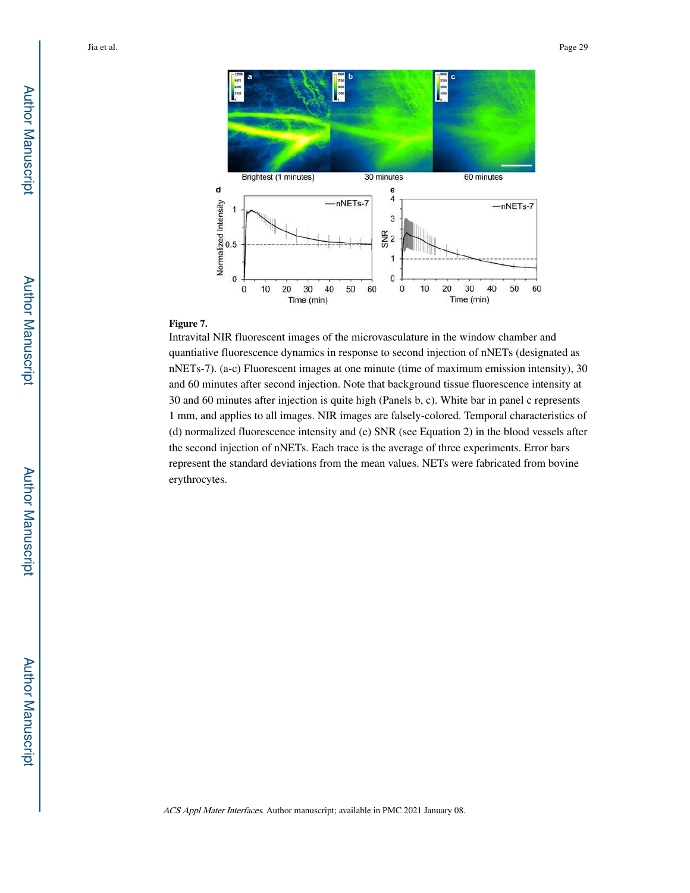

#### **Figure 7.**

Intravital NIR fluorescent images of the microvasculature in the window chamber and quantiative fluorescence dynamics in response to second injection of nNETs (designated as nNETs-7). (a-c) Fluorescent images at one minute (time of maximum emission intensity), 30 and 60 minutes after second injection. Note that background tissue fluorescence intensity at 30 and 60 minutes after injection is quite high (Panels b, c). White bar in panel c represents 1 mm, and applies to all images. NIR images are falsely-colored. Temporal characteristics of (d) normalized fluorescence intensity and (e) SNR (see Equation 2) in the blood vessels after the second injection of nNETs. Each trace is the average of three experiments. Error bars represent the standard deviations from the mean values. NETs were fabricated from bovine erythrocytes.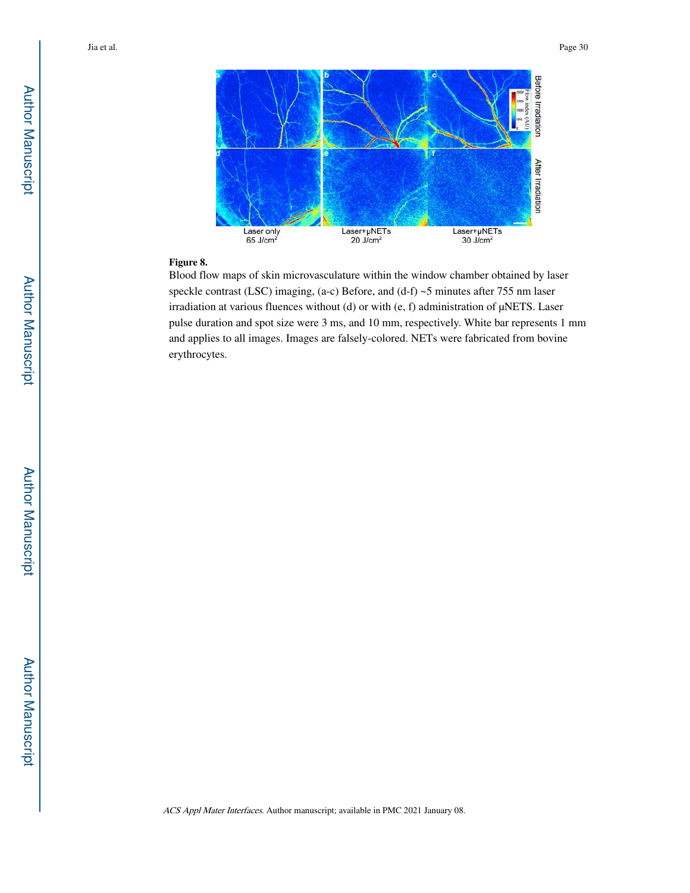

#### **Figure 8.**

Blood flow maps of skin microvasculature within the window chamber obtained by laser speckle contrast (LSC) imaging, (a-c) Before, and (d-f) ~5 minutes after 755 nm laser irradiation at various fluences without (d) or with (e, f) administration of μNETS. Laser pulse duration and spot size were 3 ms, and 10 mm, respectively. White bar represents 1 mm and applies to all images. Images are falsely-colored. NETs were fabricated from bovine erythrocytes.